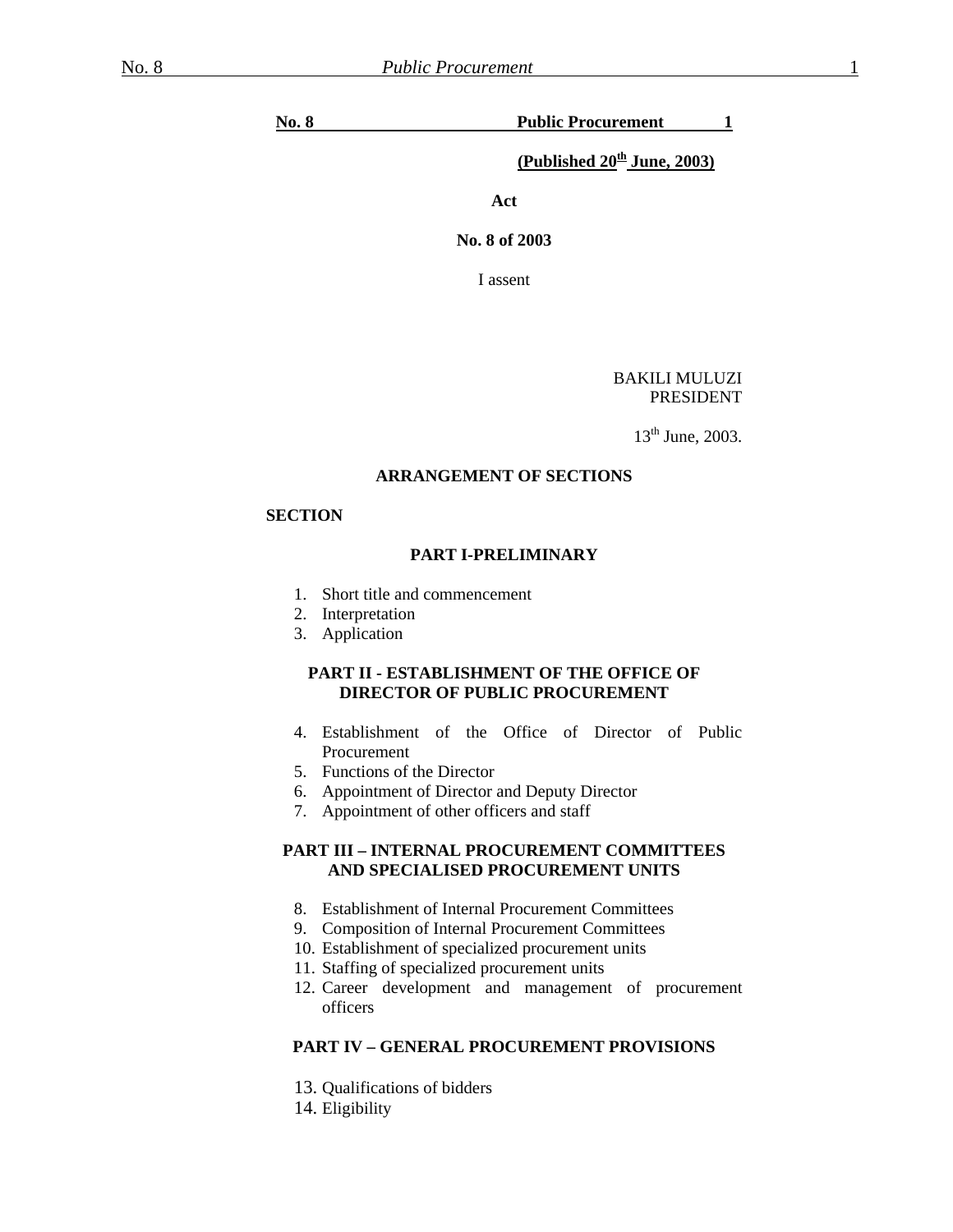**No. 8 Public Procurement** 1

**(Published 20th June, 2003)**

**Act** 

**No. 8 of 2003** 

I assent

## BAKILI MULUZI PRESIDENT

 $13^{th}$  June, 2003.

#### **ARRANGEMENT OF SECTIONS**

## **SECTION**

# **PART I-PRELIMINARY**

- 1. Short title and commencement
- 2. Interpretation
- 3. Application

## **PART II - ESTABLISHMENT OF THE OFFICE OF DIRECTOR OF PUBLIC PROCUREMENT**

- 4. Establishment of the Office of Director of Public Procurement
- 5. Functions of the Director
- 6. Appointment of Director and Deputy Director
- 7. Appointment of other officers and staff

## **PART III – INTERNAL PROCUREMENT COMMITTEES AND SPECIALISED PROCUREMENT UNITS**

- 8. Establishment of Internal Procurement Committees
- 9. Composition of Internal Procurement Committees
- 10. Establishment of specialized procurement units
- 11. Staffing of specialized procurement units
- 12. Career development and management of procurement officers

## **PART IV – GENERAL PROCUREMENT PROVISIONS**

- 13. Qualifications of bidders
- 14. Eligibility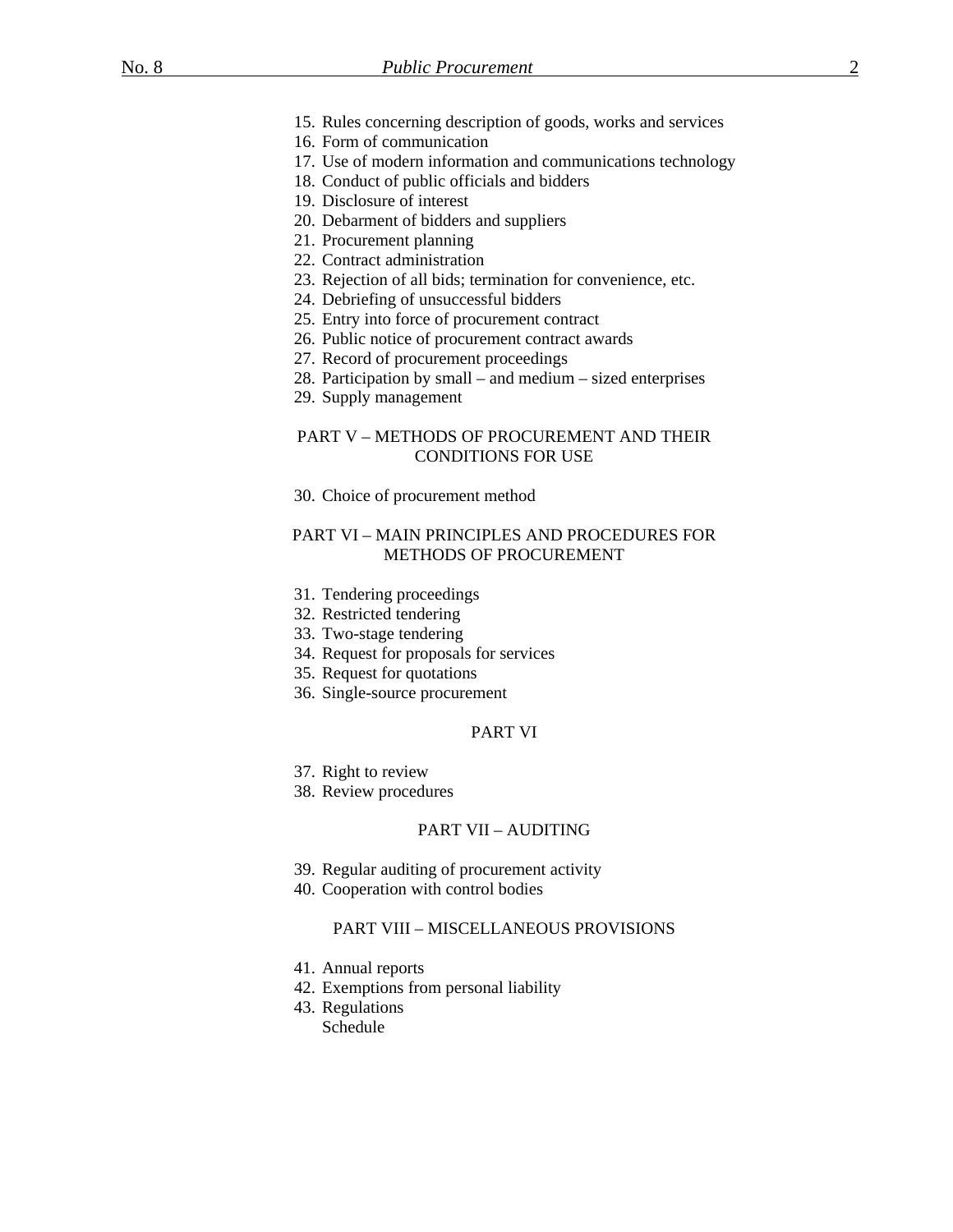- 16. Form of communication
- 17. Use of modern information and communications technology
- 18. Conduct of public officials and bidders
- 19. Disclosure of interest
- 20. Debarment of bidders and suppliers
- 21. Procurement planning
- 22. Contract administration
- 23. Rejection of all bids; termination for convenience, etc.
- 24. Debriefing of unsuccessful bidders
- 25. Entry into force of procurement contract
- 26. Public notice of procurement contract awards
- 27. Record of procurement proceedings
- 28. Participation by small and medium sized enterprises
- 29. Supply management

# PART V – METHODS OF PROCUREMENT AND THEIR CONDITIONS FOR USE

30. Choice of procurement method

## PART VI – MAIN PRINCIPLES AND PROCEDURES FOR METHODS OF PROCUREMENT

- 31. Tendering proceedings
- 32. Restricted tendering
- 33. Two-stage tendering
- 34. Request for proposals for services
- 35. Request for quotations
- 36. Single-source procurement

### PART VI

- 37. Right to review
- 38. Review procedures

### PART VII – AUDITING

- 39. Regular auditing of procurement activity
- 40. Cooperation with control bodies

#### PART VIII – MISCELLANEOUS PROVISIONS

- 41. Annual reports
- 42. Exemptions from personal liability
- 43. Regulations
	- Schedule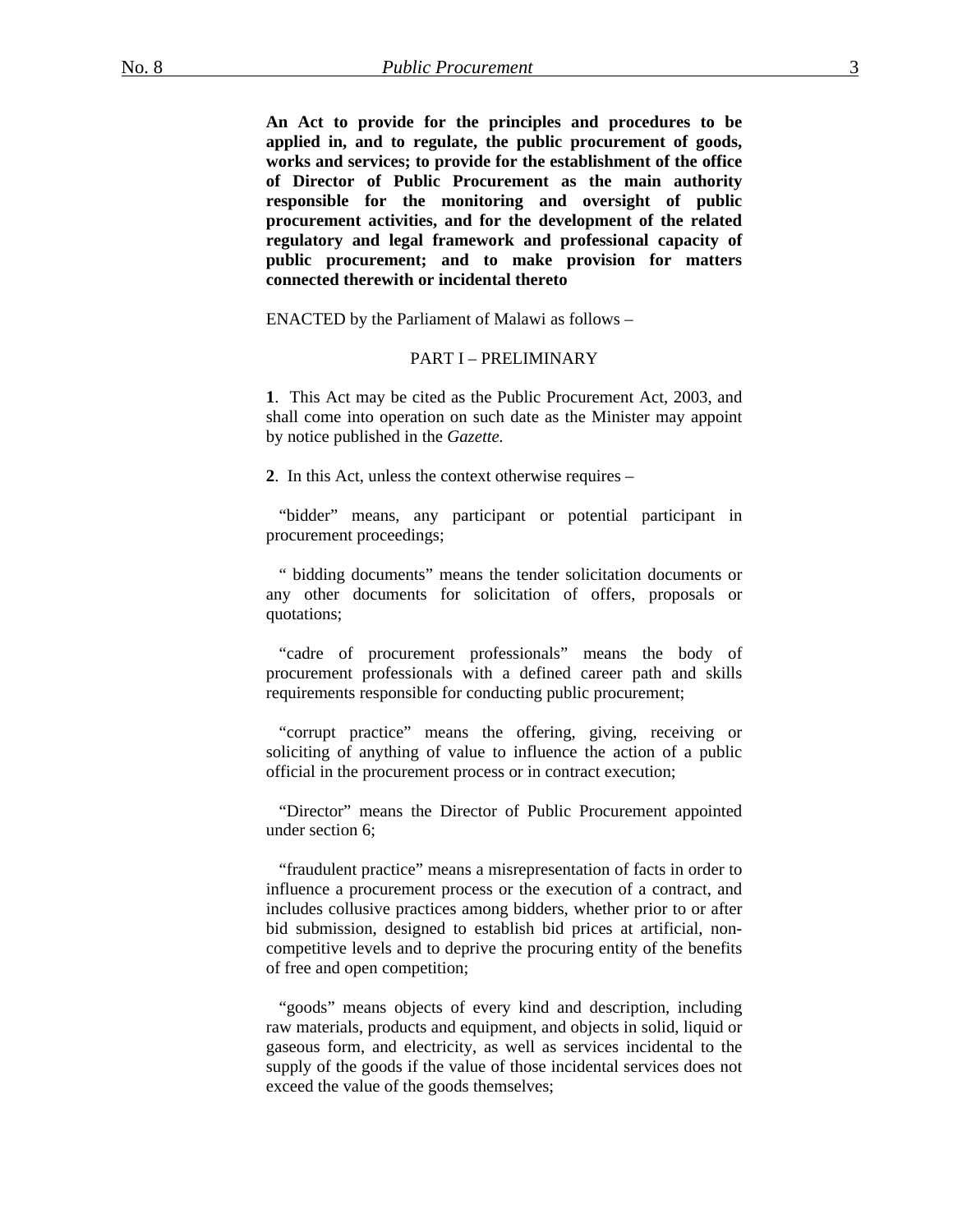**An Act to provide for the principles and procedures to be applied in, and to regulate, the public procurement of goods, works and services; to provide for the establishment of the office of Director of Public Procurement as the main authority responsible for the monitoring and oversight of public procurement activities, and for the development of the related regulatory and legal framework and professional capacity of public procurement; and to make provision for matters connected therewith or incidental thereto** 

ENACTED by the Parliament of Malawi as follows –

## PART I – PRELIMINARY

**1**. This Act may be cited as the Public Procurement Act, 2003, and shall come into operation on such date as the Minister may appoint by notice published in the *Gazette.* 

**2**. In this Act, unless the context otherwise requires –

 "bidder" means, any participant or potential participant in procurement proceedings;

 " bidding documents" means the tender solicitation documents or any other documents for solicitation of offers, proposals or quotations;

 "cadre of procurement professionals" means the body of procurement professionals with a defined career path and skills requirements responsible for conducting public procurement;

 "corrupt practice" means the offering, giving, receiving or soliciting of anything of value to influence the action of a public official in the procurement process or in contract execution;

 "Director" means the Director of Public Procurement appointed under section 6;

 "fraudulent practice" means a misrepresentation of facts in order to influence a procurement process or the execution of a contract, and includes collusive practices among bidders, whether prior to or after bid submission, designed to establish bid prices at artificial, noncompetitive levels and to deprive the procuring entity of the benefits of free and open competition;

 "goods" means objects of every kind and description, including raw materials, products and equipment, and objects in solid, liquid or gaseous form, and electricity, as well as services incidental to the supply of the goods if the value of those incidental services does not exceed the value of the goods themselves;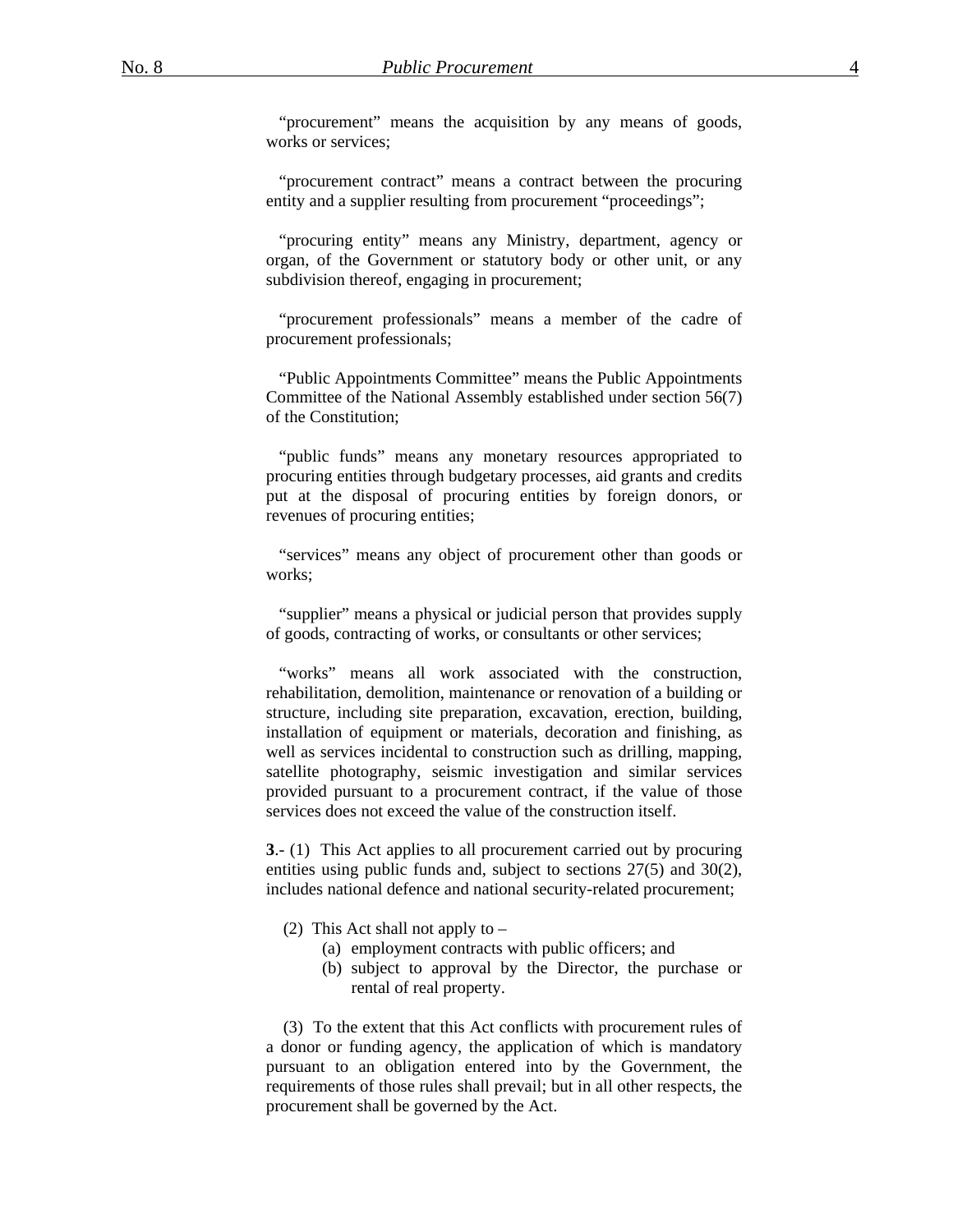"procurement" means the acquisition by any means of goods, works or services;

 "procurement contract" means a contract between the procuring entity and a supplier resulting from procurement "proceedings";

 "procuring entity" means any Ministry, department, agency or organ, of the Government or statutory body or other unit, or any subdivision thereof, engaging in procurement;

 "procurement professionals" means a member of the cadre of procurement professionals;

 "Public Appointments Committee" means the Public Appointments Committee of the National Assembly established under section 56(7) of the Constitution;

 "public funds" means any monetary resources appropriated to procuring entities through budgetary processes, aid grants and credits put at the disposal of procuring entities by foreign donors, or revenues of procuring entities;

 "services" means any object of procurement other than goods or works;

 "supplier" means a physical or judicial person that provides supply of goods, contracting of works, or consultants or other services;

 "works" means all work associated with the construction, rehabilitation, demolition, maintenance or renovation of a building or structure, including site preparation, excavation, erection, building, installation of equipment or materials, decoration and finishing, as well as services incidental to construction such as drilling, mapping, satellite photography, seismic investigation and similar services provided pursuant to a procurement contract, if the value of those services does not exceed the value of the construction itself.

**3**.- (1) This Act applies to all procurement carried out by procuring entities using public funds and, subject to sections 27(5) and 30(2), includes national defence and national security-related procurement;

- (2) This Act shall not apply to
	- (a) employment contracts with public officers; and
	- (b) subject to approval by the Director, the purchase or rental of real property.

 (3) To the extent that this Act conflicts with procurement rules of a donor or funding agency, the application of which is mandatory pursuant to an obligation entered into by the Government, the requirements of those rules shall prevail; but in all other respects, the procurement shall be governed by the Act.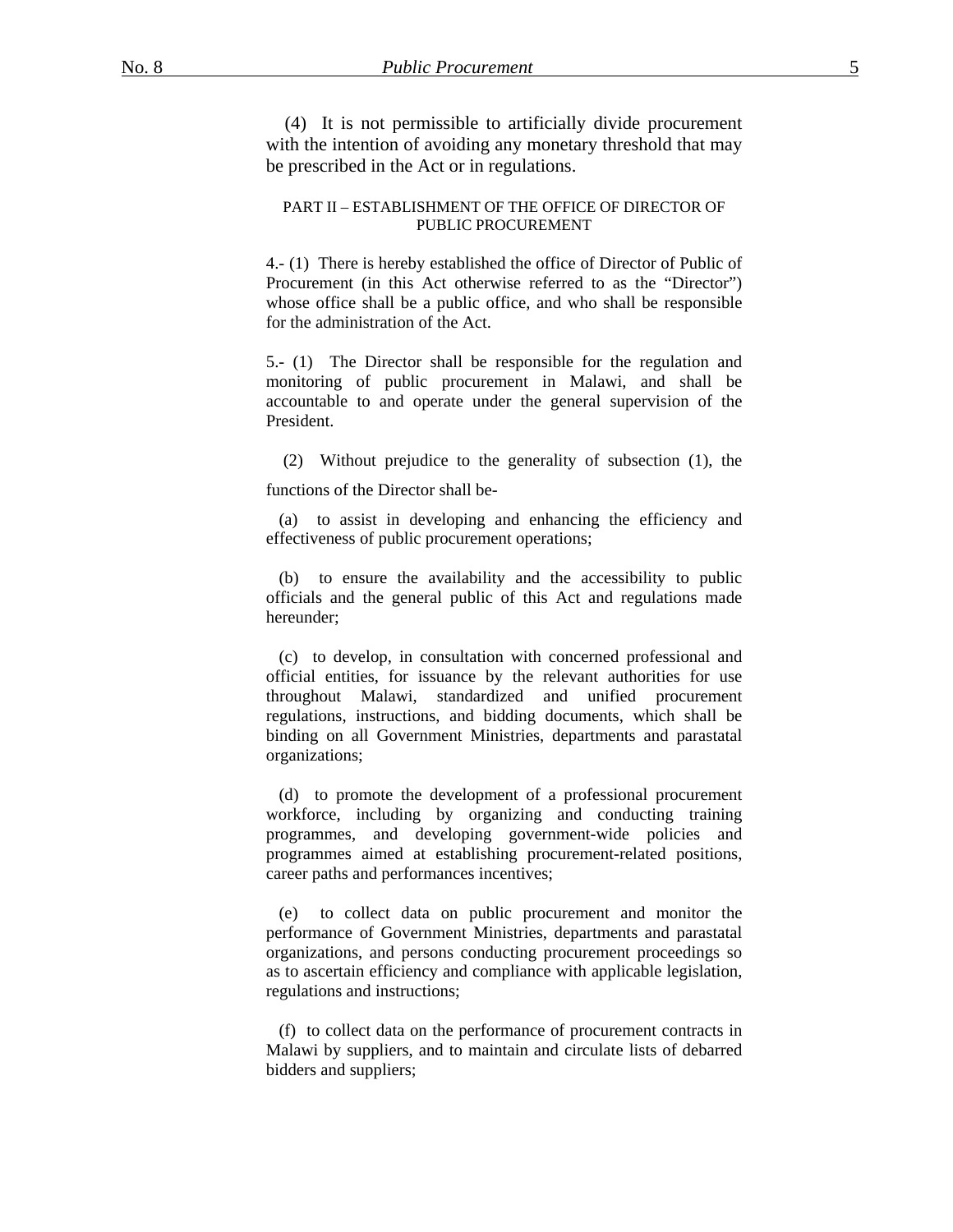(4) It is not permissible to artificially divide procurement with the intention of avoiding any monetary threshold that may be prescribed in the Act or in regulations.

### PART II – ESTABLISHMENT OF THE OFFICE OF DIRECTOR OF PUBLIC PROCUREMENT

4.- (1) There is hereby established the office of Director of Public of Procurement (in this Act otherwise referred to as the "Director") whose office shall be a public office, and who shall be responsible for the administration of the Act.

5.- (1) The Director shall be responsible for the regulation and monitoring of public procurement in Malawi, and shall be accountable to and operate under the general supervision of the President.

 (2) Without prejudice to the generality of subsection (1), the functions of the Director shall be-

 (a) to assist in developing and enhancing the efficiency and effectiveness of public procurement operations;

 (b) to ensure the availability and the accessibility to public officials and the general public of this Act and regulations made hereunder;

 (c) to develop, in consultation with concerned professional and official entities, for issuance by the relevant authorities for use throughout Malawi, standardized and unified procurement regulations, instructions, and bidding documents, which shall be binding on all Government Ministries, departments and parastatal organizations;

 (d) to promote the development of a professional procurement workforce, including by organizing and conducting training programmes, and developing government-wide policies and programmes aimed at establishing procurement-related positions, career paths and performances incentives;

 (e) to collect data on public procurement and monitor the performance of Government Ministries, departments and parastatal organizations, and persons conducting procurement proceedings so as to ascertain efficiency and compliance with applicable legislation, regulations and instructions;

 (f) to collect data on the performance of procurement contracts in Malawi by suppliers, and to maintain and circulate lists of debarred bidders and suppliers;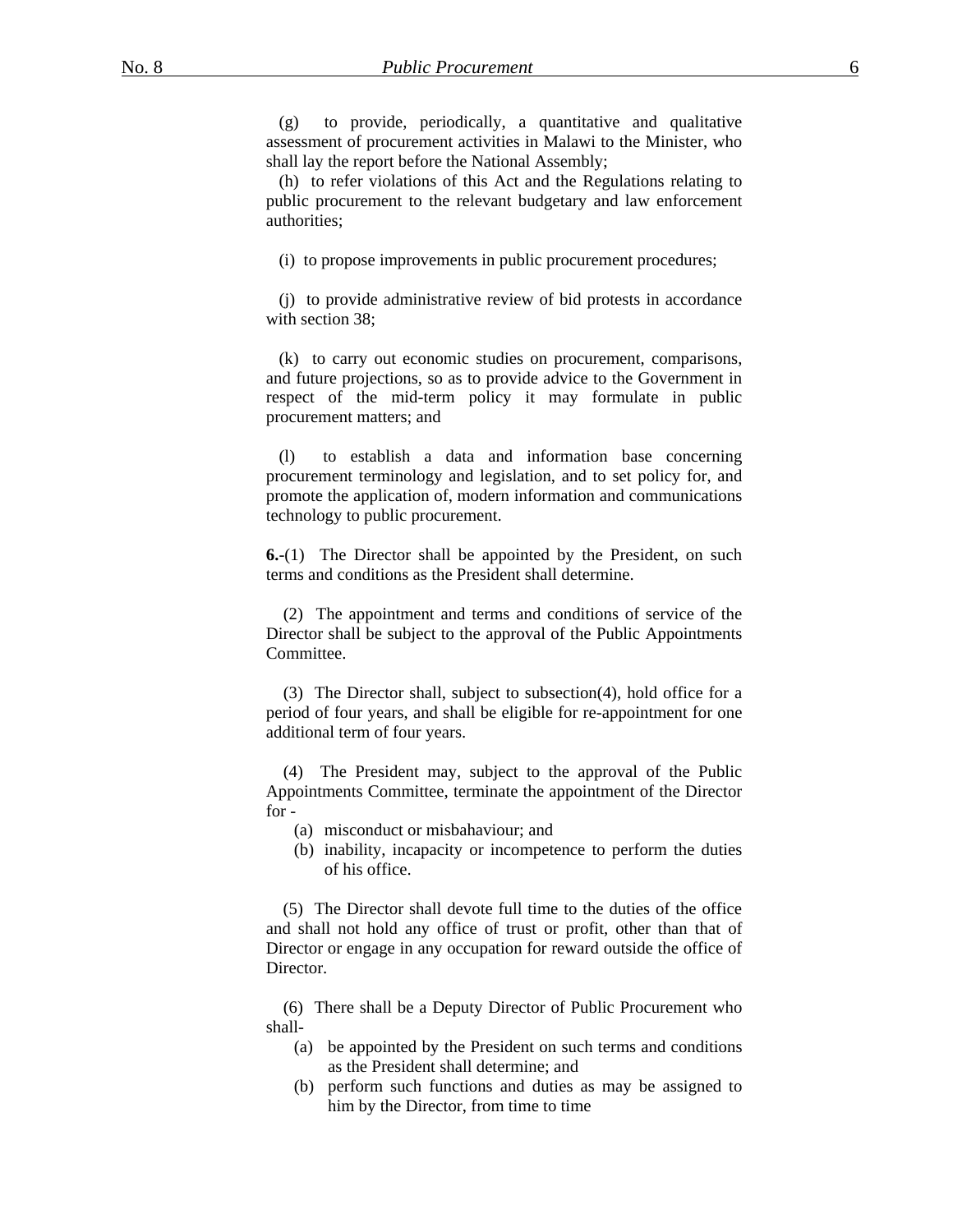(g) to provide, periodically, a quantitative and qualitative assessment of procurement activities in Malawi to the Minister, who shall lay the report before the National Assembly;

 (h) to refer violations of this Act and the Regulations relating to public procurement to the relevant budgetary and law enforcement authorities;

(i) to propose improvements in public procurement procedures;

 (j) to provide administrative review of bid protests in accordance with section 38;

 (k) to carry out economic studies on procurement, comparisons, and future projections, so as to provide advice to the Government in respect of the mid-term policy it may formulate in public procurement matters; and

 (l) to establish a data and information base concerning procurement terminology and legislation, and to set policy for, and promote the application of, modern information and communications technology to public procurement.

**6.**-(1) The Director shall be appointed by the President, on such terms and conditions as the President shall determine.

 (2) The appointment and terms and conditions of service of the Director shall be subject to the approval of the Public Appointments Committee.

 (3) The Director shall, subject to subsection(4), hold office for a period of four years, and shall be eligible for re-appointment for one additional term of four years.

 (4) The President may, subject to the approval of the Public Appointments Committee, terminate the appointment of the Director for -

- (a) misconduct or misbahaviour; and
- (b) inability, incapacity or incompetence to perform the duties of his office.

 (5) The Director shall devote full time to the duties of the office and shall not hold any office of trust or profit, other than that of Director or engage in any occupation for reward outside the office of Director.

 (6) There shall be a Deputy Director of Public Procurement who shall-

- (a) be appointed by the President on such terms and conditions as the President shall determine; and
- (b) perform such functions and duties as may be assigned to him by the Director, from time to time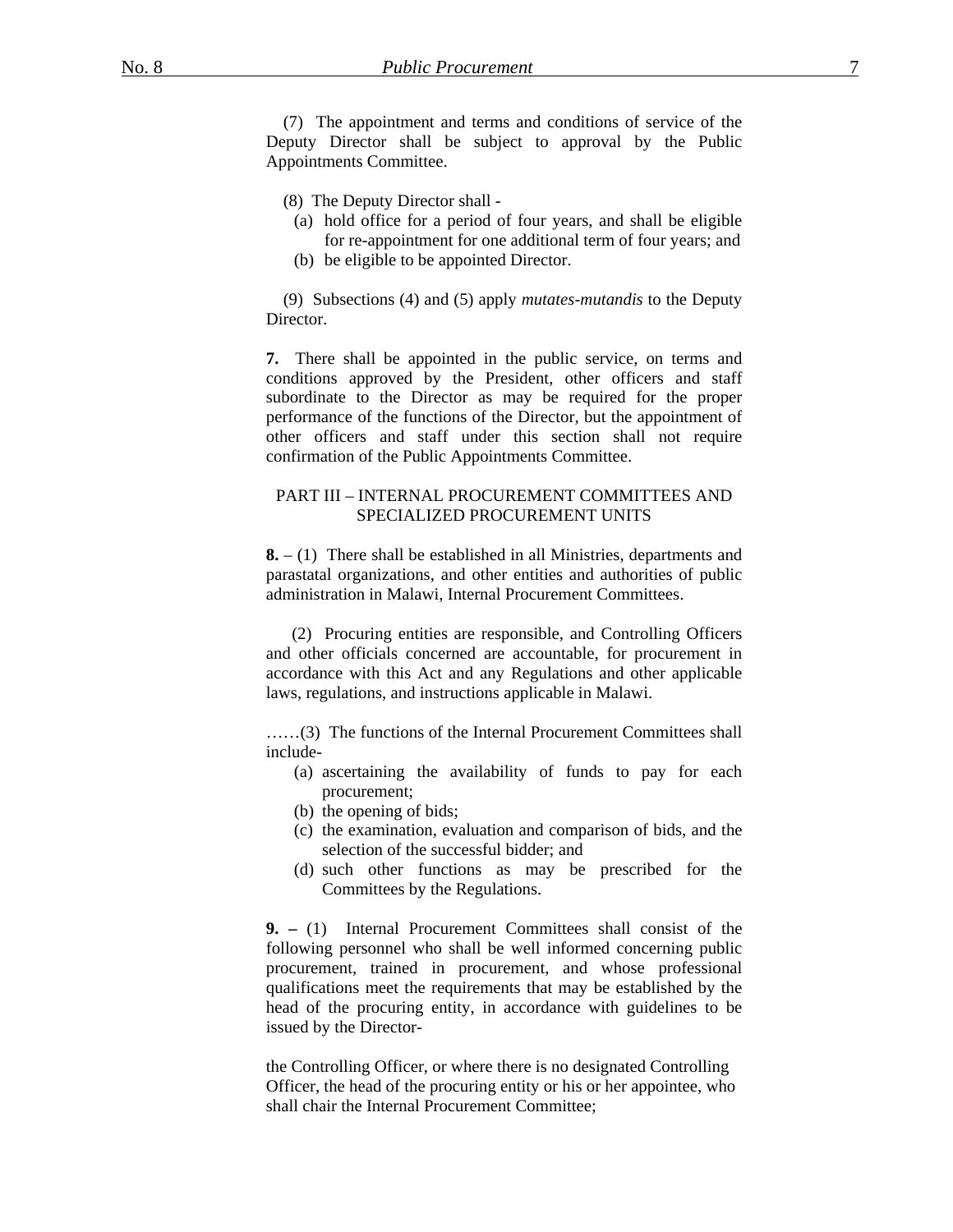(7) The appointment and terms and conditions of service of the Deputy Director shall be subject to approval by the Public Appointments Committee.

(8) The Deputy Director shall -

- (a) hold office for a period of four years, and shall be eligible for re-appointment for one additional term of four years; and
- (b) be eligible to be appointed Director.

 (9) Subsections (4) and (5) apply *mutates-mutandis* to the Deputy Director.

**7.** There shall be appointed in the public service, on terms and conditions approved by the President, other officers and staff subordinate to the Director as may be required for the proper performance of the functions of the Director, but the appointment of other officers and staff under this section shall not require confirmation of the Public Appointments Committee.

# PART III – INTERNAL PROCUREMENT COMMITTEES AND SPECIALIZED PROCUREMENT UNITS

**8.** – (1) There shall be established in all Ministries, departments and parastatal organizations, and other entities and authorities of public administration in Malawi, Internal Procurement Committees.

 (2) Procuring entities are responsible, and Controlling Officers and other officials concerned are accountable, for procurement in accordance with this Act and any Regulations and other applicable laws, regulations, and instructions applicable in Malawi.

……(3) The functions of the Internal Procurement Committees shall include-

- (a) ascertaining the availability of funds to pay for each procurement;
- (b) the opening of bids;
- (c) the examination, evaluation and comparison of bids, and the selection of the successful bidder; and
- (d) such other functions as may be prescribed for the Committees by the Regulations.

**9. –** (1) Internal Procurement Committees shall consist of the following personnel who shall be well informed concerning public procurement, trained in procurement, and whose professional qualifications meet the requirements that may be established by the head of the procuring entity, in accordance with guidelines to be issued by the Director-

the Controlling Officer, or where there is no designated Controlling Officer, the head of the procuring entity or his or her appointee, who shall chair the Internal Procurement Committee;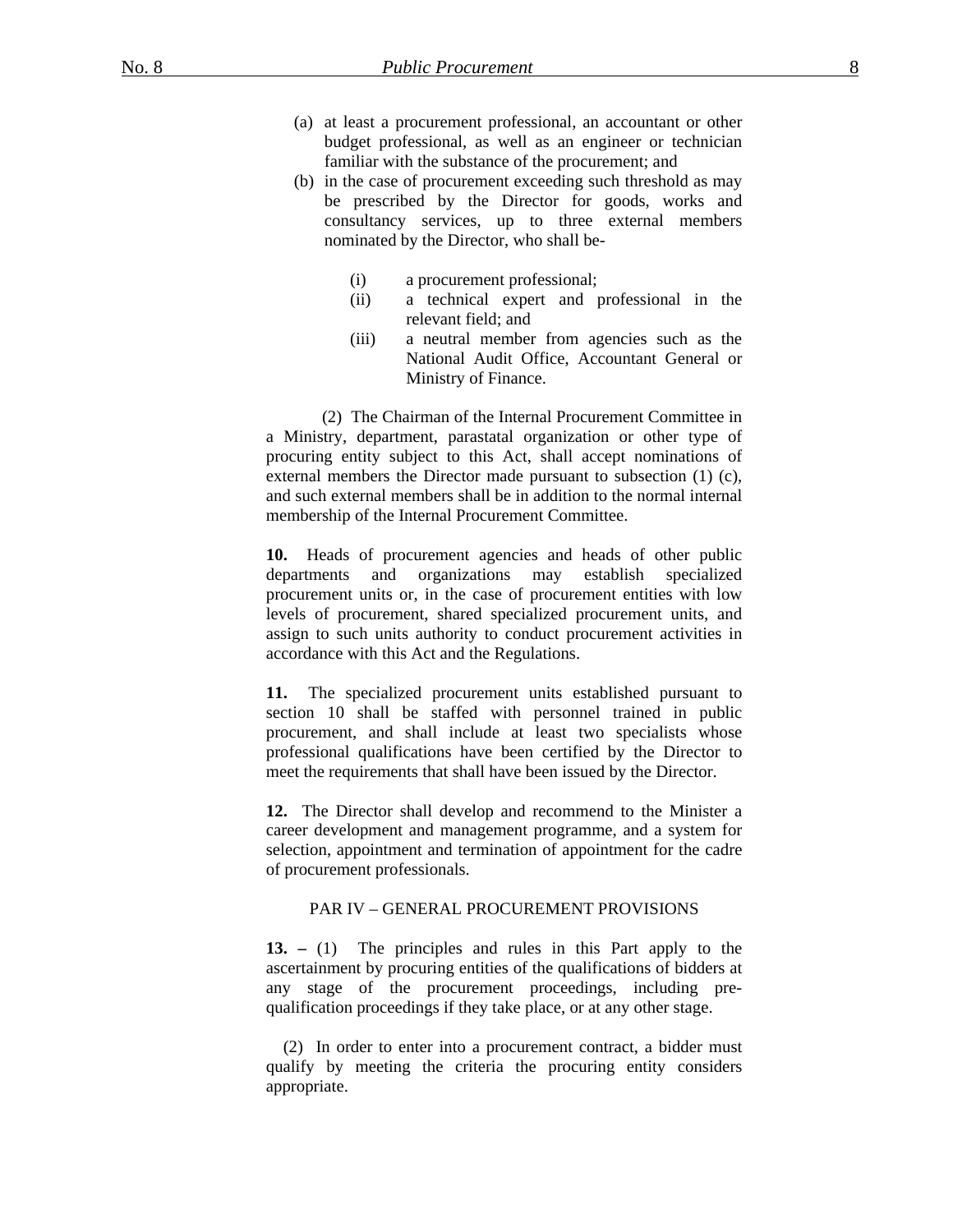- (a) at least a procurement professional, an accountant or other budget professional, as well as an engineer or technician familiar with the substance of the procurement; and
- (b) in the case of procurement exceeding such threshold as may be prescribed by the Director for goods, works and consultancy services, up to three external members nominated by the Director, who shall be-
	- (i) a procurement professional;
	- (ii) a technical expert and professional in the relevant field; and
	- (iii) a neutral member from agencies such as the National Audit Office, Accountant General or Ministry of Finance.

(2) The Chairman of the Internal Procurement Committee in a Ministry, department, parastatal organization or other type of procuring entity subject to this Act, shall accept nominations of external members the Director made pursuant to subsection (1) (c), and such external members shall be in addition to the normal internal membership of the Internal Procurement Committee.

**10.** Heads of procurement agencies and heads of other public departments and organizations may establish specialized procurement units or, in the case of procurement entities with low levels of procurement, shared specialized procurement units, and assign to such units authority to conduct procurement activities in accordance with this Act and the Regulations.

**11.** The specialized procurement units established pursuant to section 10 shall be staffed with personnel trained in public procurement, and shall include at least two specialists whose professional qualifications have been certified by the Director to meet the requirements that shall have been issued by the Director.

**12.** The Director shall develop and recommend to the Minister a career development and management programme, and a system for selection, appointment and termination of appointment for the cadre of procurement professionals.

# PAR IV – GENERAL PROCUREMENT PROVISIONS

**13. –** (1) The principles and rules in this Part apply to the ascertainment by procuring entities of the qualifications of bidders at any stage of the procurement proceedings, including prequalification proceedings if they take place, or at any other stage.

 (2) In order to enter into a procurement contract, a bidder must qualify by meeting the criteria the procuring entity considers appropriate.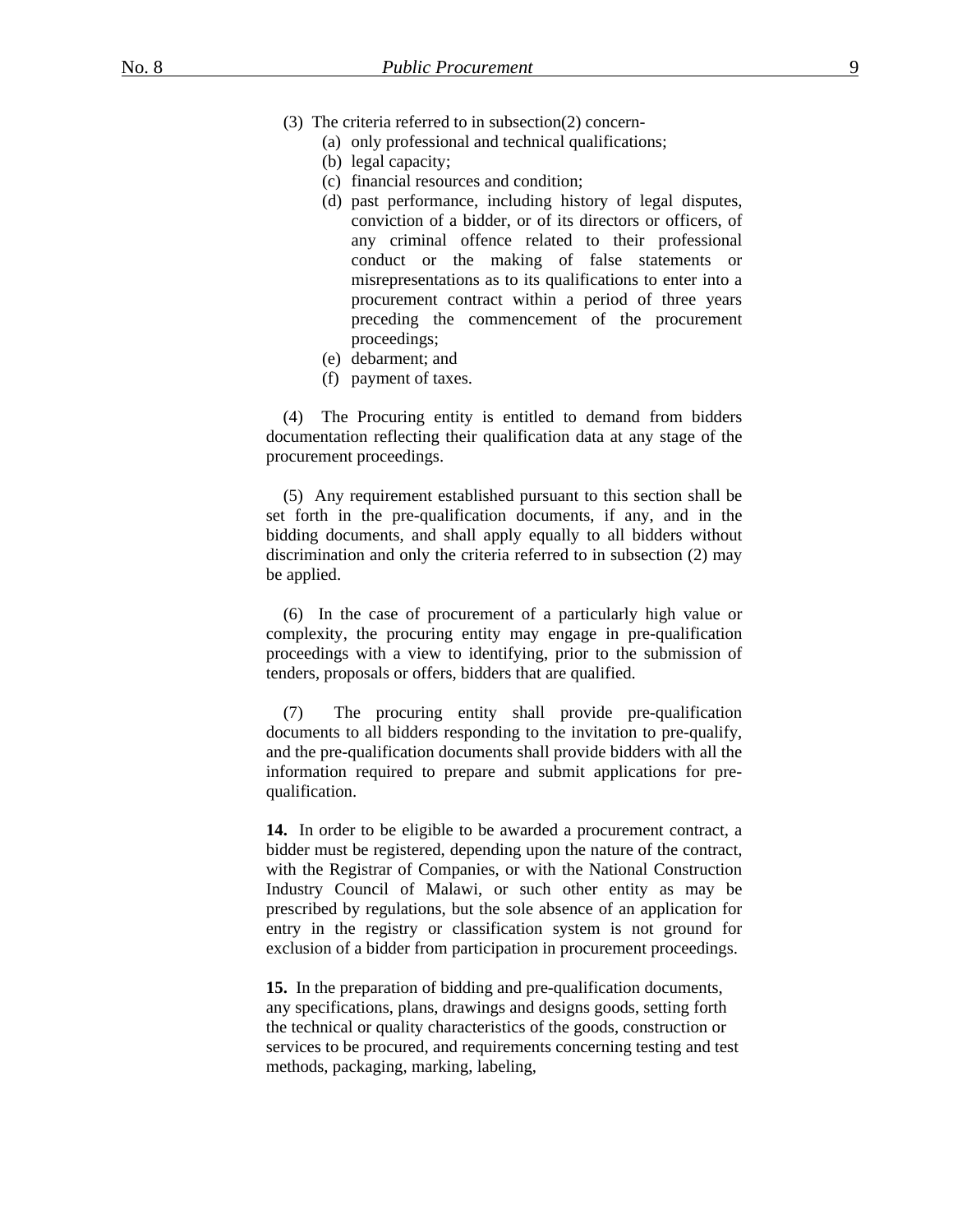- (3) The criteria referred to in subsection(2) concern-
	- (a) only professional and technical qualifications;
	- (b) legal capacity;
	- (c) financial resources and condition;
	- (d) past performance, including history of legal disputes, conviction of a bidder, or of its directors or officers, of any criminal offence related to their professional conduct or the making of false statements or misrepresentations as to its qualifications to enter into a procurement contract within a period of three years preceding the commencement of the procurement proceedings;
	- (e) debarment; and
	- (f) payment of taxes.

 (4) The Procuring entity is entitled to demand from bidders documentation reflecting their qualification data at any stage of the procurement proceedings.

 (5) Any requirement established pursuant to this section shall be set forth in the pre-qualification documents, if any, and in the bidding documents, and shall apply equally to all bidders without discrimination and only the criteria referred to in subsection (2) may be applied.

 (6) In the case of procurement of a particularly high value or complexity, the procuring entity may engage in pre-qualification proceedings with a view to identifying, prior to the submission of tenders, proposals or offers, bidders that are qualified.

 (7) The procuring entity shall provide pre-qualification documents to all bidders responding to the invitation to pre-qualify, and the pre-qualification documents shall provide bidders with all the information required to prepare and submit applications for prequalification.

**14.** In order to be eligible to be awarded a procurement contract, a bidder must be registered, depending upon the nature of the contract, with the Registrar of Companies, or with the National Construction Industry Council of Malawi, or such other entity as may be prescribed by regulations, but the sole absence of an application for entry in the registry or classification system is not ground for exclusion of a bidder from participation in procurement proceedings.

**15.** In the preparation of bidding and pre-qualification documents, any specifications, plans, drawings and designs goods, setting forth the technical or quality characteristics of the goods, construction or services to be procured, and requirements concerning testing and test methods, packaging, marking, labeling,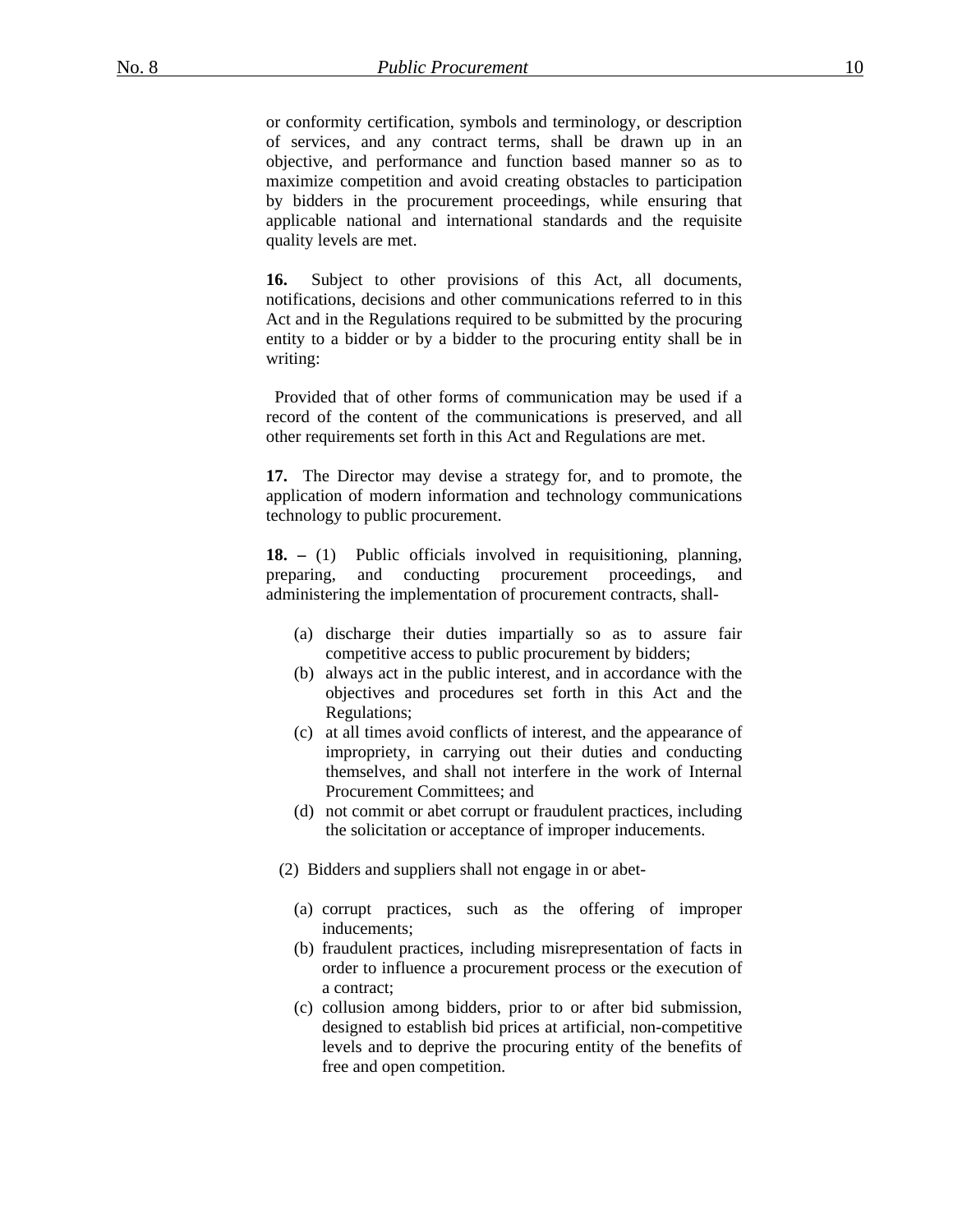or conformity certification, symbols and terminology, or description of services, and any contract terms, shall be drawn up in an objective, and performance and function based manner so as to maximize competition and avoid creating obstacles to participation by bidders in the procurement proceedings, while ensuring that applicable national and international standards and the requisite quality levels are met.

**16.** Subject to other provisions of this Act, all documents, notifications, decisions and other communications referred to in this Act and in the Regulations required to be submitted by the procuring entity to a bidder or by a bidder to the procuring entity shall be in writing:

 Provided that of other forms of communication may be used if a record of the content of the communications is preserved, and all other requirements set forth in this Act and Regulations are met.

**17.** The Director may devise a strategy for, and to promote, the application of modern information and technology communications technology to public procurement.

**18. –** (1) Public officials involved in requisitioning, planning, preparing, and conducting procurement proceedings, and administering the implementation of procurement contracts, shall-

- (a) discharge their duties impartially so as to assure fair competitive access to public procurement by bidders;
- (b) always act in the public interest, and in accordance with the objectives and procedures set forth in this Act and the Regulations;
- (c) at all times avoid conflicts of interest, and the appearance of impropriety, in carrying out their duties and conducting themselves, and shall not interfere in the work of Internal Procurement Committees; and
- (d) not commit or abet corrupt or fraudulent practices, including the solicitation or acceptance of improper inducements.
- (2) Bidders and suppliers shall not engage in or abet-
	- (a) corrupt practices, such as the offering of improper inducements;
	- (b) fraudulent practices, including misrepresentation of facts in order to influence a procurement process or the execution of a contract;
	- (c) collusion among bidders, prior to or after bid submission, designed to establish bid prices at artificial, non-competitive levels and to deprive the procuring entity of the benefits of free and open competition.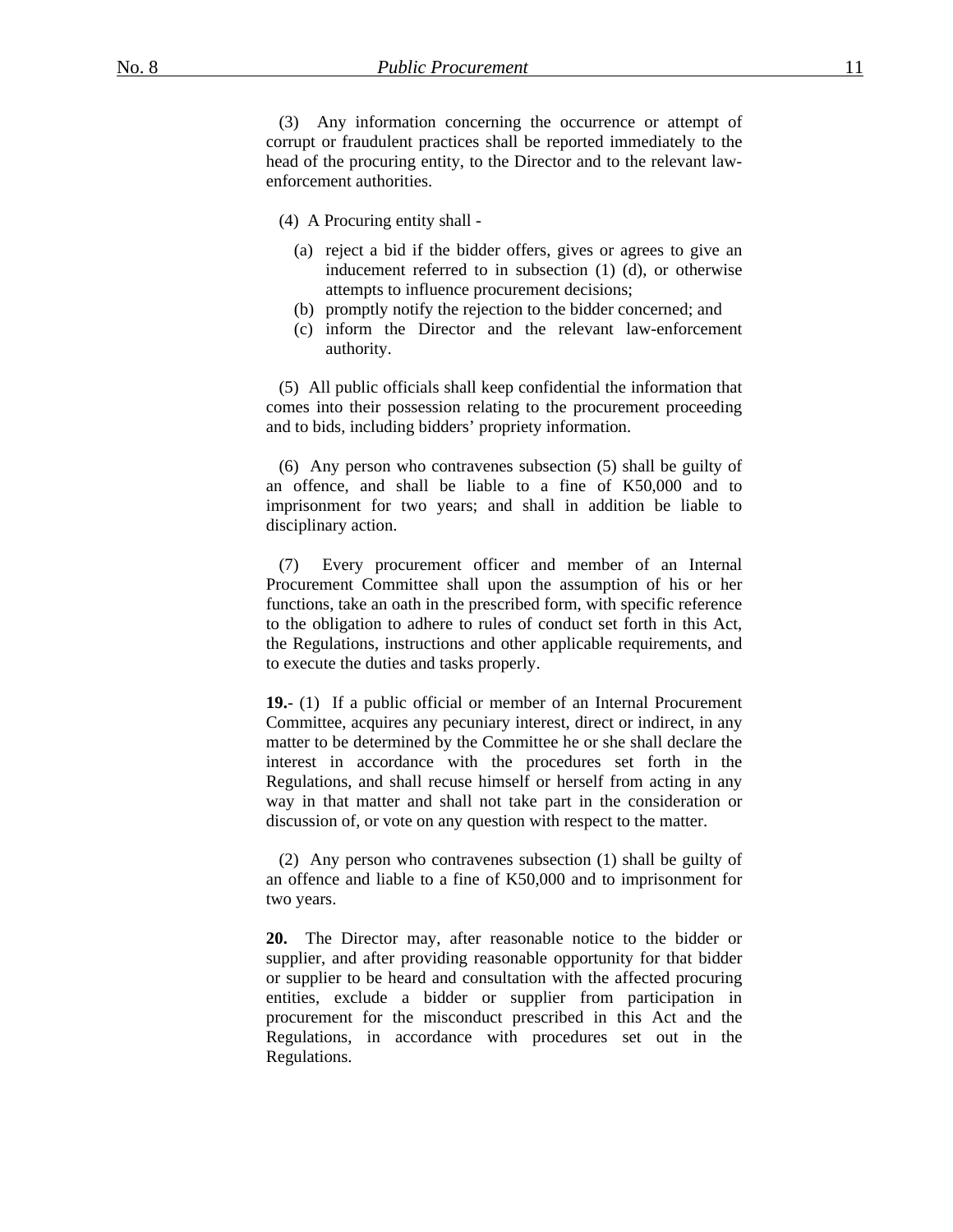(3) Any information concerning the occurrence or attempt of corrupt or fraudulent practices shall be reported immediately to the head of the procuring entity, to the Director and to the relevant lawenforcement authorities.

- (4) A Procuring entity shall
	- (a) reject a bid if the bidder offers, gives or agrees to give an inducement referred to in subsection (1) (d), or otherwise attempts to influence procurement decisions;
	- (b) promptly notify the rejection to the bidder concerned; and
	- (c) inform the Director and the relevant law-enforcement authority.

 (5) All public officials shall keep confidential the information that comes into their possession relating to the procurement proceeding and to bids, including bidders' propriety information.

 (6) Any person who contravenes subsection (5) shall be guilty of an offence, and shall be liable to a fine of K50,000 and to imprisonment for two years; and shall in addition be liable to disciplinary action.

 (7) Every procurement officer and member of an Internal Procurement Committee shall upon the assumption of his or her functions, take an oath in the prescribed form, with specific reference to the obligation to adhere to rules of conduct set forth in this Act, the Regulations, instructions and other applicable requirements, and to execute the duties and tasks properly.

**19.**- (1) If a public official or member of an Internal Procurement Committee, acquires any pecuniary interest, direct or indirect, in any matter to be determined by the Committee he or she shall declare the interest in accordance with the procedures set forth in the Regulations, and shall recuse himself or herself from acting in any way in that matter and shall not take part in the consideration or discussion of, or vote on any question with respect to the matter.

 (2) Any person who contravenes subsection (1) shall be guilty of an offence and liable to a fine of K50,000 and to imprisonment for two years.

**20.** The Director may, after reasonable notice to the bidder or supplier, and after providing reasonable opportunity for that bidder or supplier to be heard and consultation with the affected procuring entities, exclude a bidder or supplier from participation in procurement for the misconduct prescribed in this Act and the Regulations, in accordance with procedures set out in the Regulations.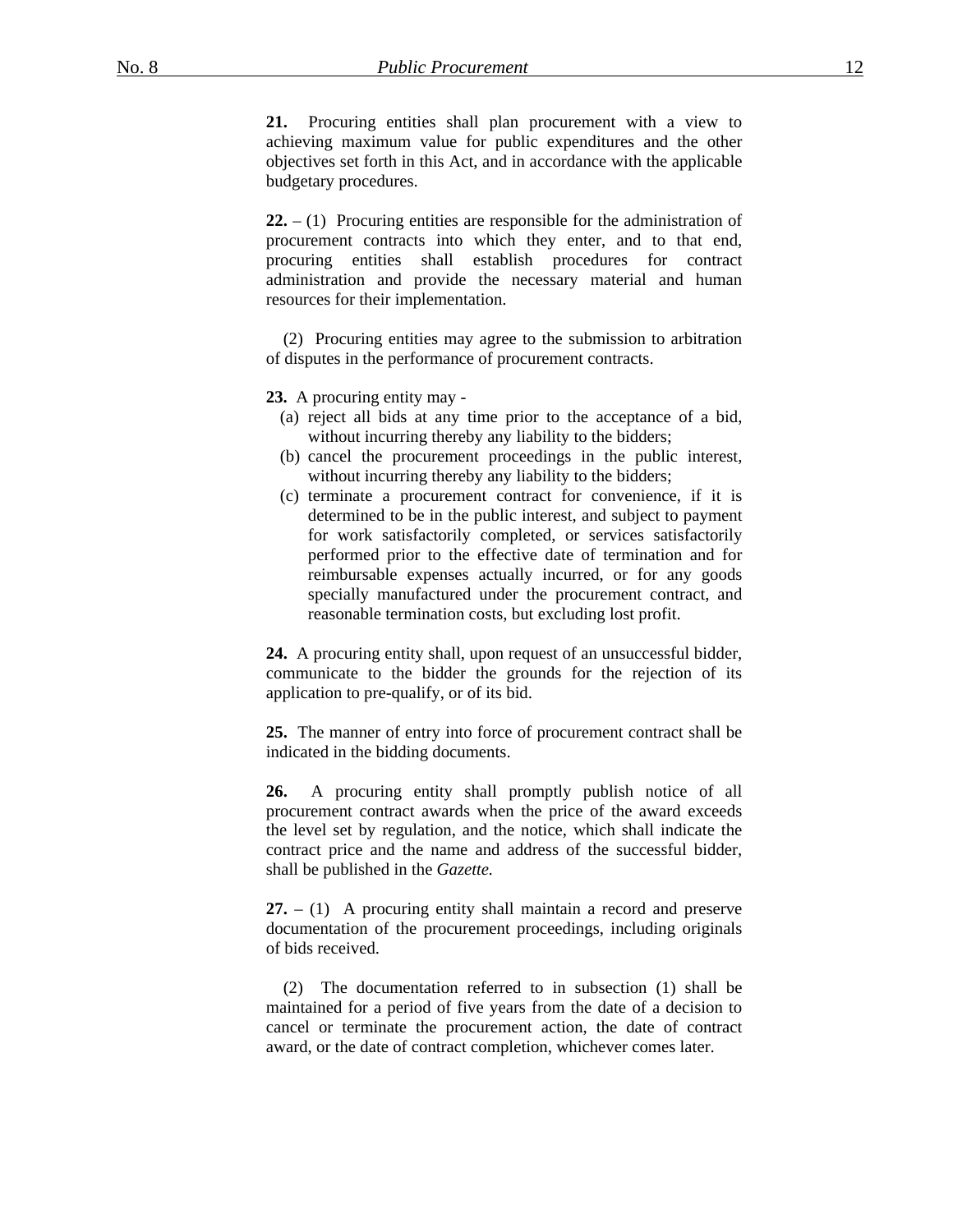**21.** Procuring entities shall plan procurement with a view to achieving maximum value for public expenditures and the other objectives set forth in this Act, and in accordance with the applicable budgetary procedures.

 $22. - (1)$  Procuring entities are responsible for the administration of procurement contracts into which they enter, and to that end, procuring entities shall establish procedures for contract administration and provide the necessary material and human resources for their implementation.

 (2) Procuring entities may agree to the submission to arbitration of disputes in the performance of procurement contracts.

**23.** A procuring entity may -

- (a) reject all bids at any time prior to the acceptance of a bid, without incurring thereby any liability to the bidders;
- (b) cancel the procurement proceedings in the public interest, without incurring thereby any liability to the bidders;
- (c) terminate a procurement contract for convenience, if it is determined to be in the public interest, and subject to payment for work satisfactorily completed, or services satisfactorily performed prior to the effective date of termination and for reimbursable expenses actually incurred, or for any goods specially manufactured under the procurement contract, and reasonable termination costs, but excluding lost profit.

**24.** A procuring entity shall, upon request of an unsuccessful bidder, communicate to the bidder the grounds for the rejection of its application to pre-qualify, or of its bid.

**25.** The manner of entry into force of procurement contract shall be indicated in the bidding documents.

**26.** A procuring entity shall promptly publish notice of all procurement contract awards when the price of the award exceeds the level set by regulation, and the notice, which shall indicate the contract price and the name and address of the successful bidder, shall be published in the *Gazette.*

**27.** – (1) A procuring entity shall maintain a record and preserve documentation of the procurement proceedings, including originals of bids received.

 (2) The documentation referred to in subsection (1) shall be maintained for a period of five years from the date of a decision to cancel or terminate the procurement action, the date of contract award, or the date of contract completion, whichever comes later.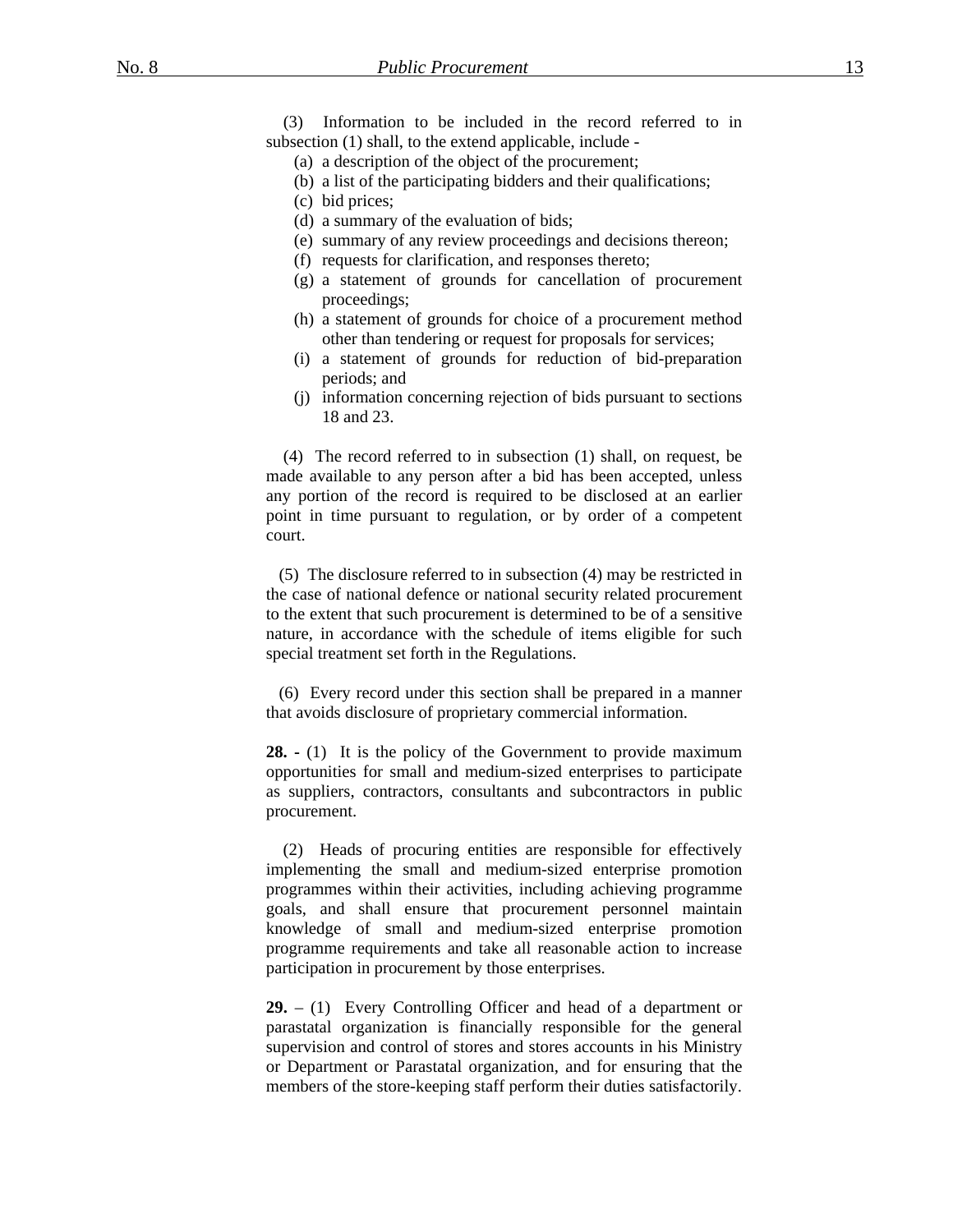(3) Information to be included in the record referred to in subsection (1) shall, to the extend applicable, include -

- (a) a description of the object of the procurement;
- (b) a list of the participating bidders and their qualifications;
- (c) bid prices;
- (d) a summary of the evaluation of bids;
- (e) summary of any review proceedings and decisions thereon;
- (f) requests for clarification, and responses thereto;
- (g) a statement of grounds for cancellation of procurement proceedings;
- (h) a statement of grounds for choice of a procurement method other than tendering or request for proposals for services;
- (i) a statement of grounds for reduction of bid-preparation periods; and
- (j) information concerning rejection of bids pursuant to sections 18 and 23.

 (4) The record referred to in subsection (1) shall, on request, be made available to any person after a bid has been accepted, unless any portion of the record is required to be disclosed at an earlier point in time pursuant to regulation, or by order of a competent court.

 (5) The disclosure referred to in subsection (4) may be restricted in the case of national defence or national security related procurement to the extent that such procurement is determined to be of a sensitive nature, in accordance with the schedule of items eligible for such special treatment set forth in the Regulations.

 (6) Every record under this section shall be prepared in a manner that avoids disclosure of proprietary commercial information.

**28.** - (1) It is the policy of the Government to provide maximum opportunities for small and medium-sized enterprises to participate as suppliers, contractors, consultants and subcontractors in public procurement.

 (2) Heads of procuring entities are responsible for effectively implementing the small and medium-sized enterprise promotion programmes within their activities, including achieving programme goals, and shall ensure that procurement personnel maintain knowledge of small and medium-sized enterprise promotion programme requirements and take all reasonable action to increase participation in procurement by those enterprises.

**29.** – (1) Every Controlling Officer and head of a department or parastatal organization is financially responsible for the general supervision and control of stores and stores accounts in his Ministry or Department or Parastatal organization, and for ensuring that the members of the store-keeping staff perform their duties satisfactorily.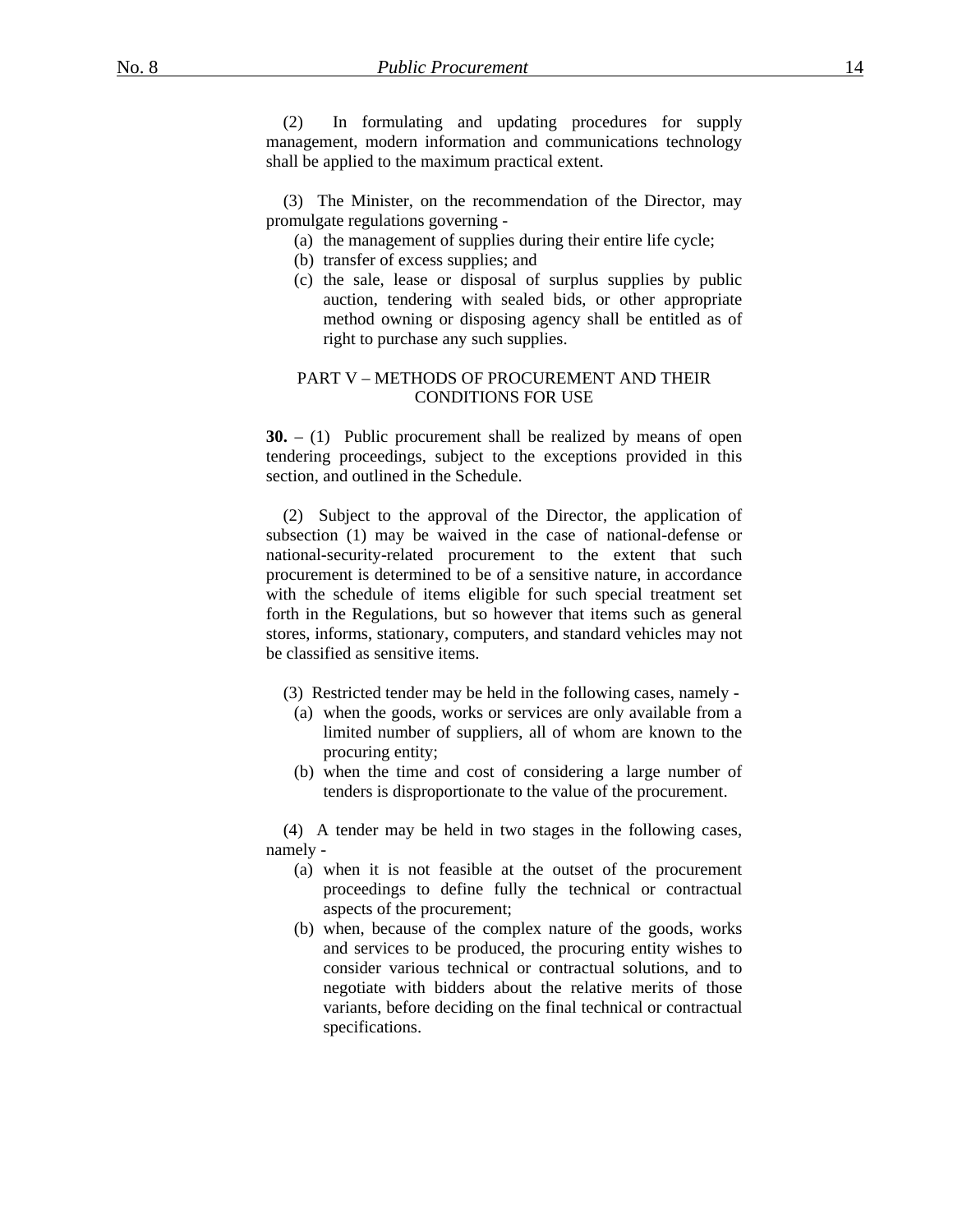(2) In formulating and updating procedures for supply management, modern information and communications technology shall be applied to the maximum practical extent.

 (3) The Minister, on the recommendation of the Director, may promulgate regulations governing -

- (a) the management of supplies during their entire life cycle;
- (b) transfer of excess supplies; and
- (c) the sale, lease or disposal of surplus supplies by public auction, tendering with sealed bids, or other appropriate method owning or disposing agency shall be entitled as of right to purchase any such supplies.

## PART V – METHODS OF PROCUREMENT AND THEIR CONDITIONS FOR USE

**30.** – (1) Public procurement shall be realized by means of open tendering proceedings, subject to the exceptions provided in this section, and outlined in the Schedule.

 (2) Subject to the approval of the Director, the application of subsection (1) may be waived in the case of national-defense or national-security-related procurement to the extent that such procurement is determined to be of a sensitive nature, in accordance with the schedule of items eligible for such special treatment set forth in the Regulations, but so however that items such as general stores, informs, stationary, computers, and standard vehicles may not be classified as sensitive items.

- (3) Restricted tender may be held in the following cases, namely
	- (a) when the goods, works or services are only available from a limited number of suppliers, all of whom are known to the procuring entity;
- (b) when the time and cost of considering a large number of tenders is disproportionate to the value of the procurement.

 (4) A tender may be held in two stages in the following cases, namely -

- (a) when it is not feasible at the outset of the procurement proceedings to define fully the technical or contractual aspects of the procurement;
- (b) when, because of the complex nature of the goods, works and services to be produced, the procuring entity wishes to consider various technical or contractual solutions, and to negotiate with bidders about the relative merits of those variants, before deciding on the final technical or contractual specifications.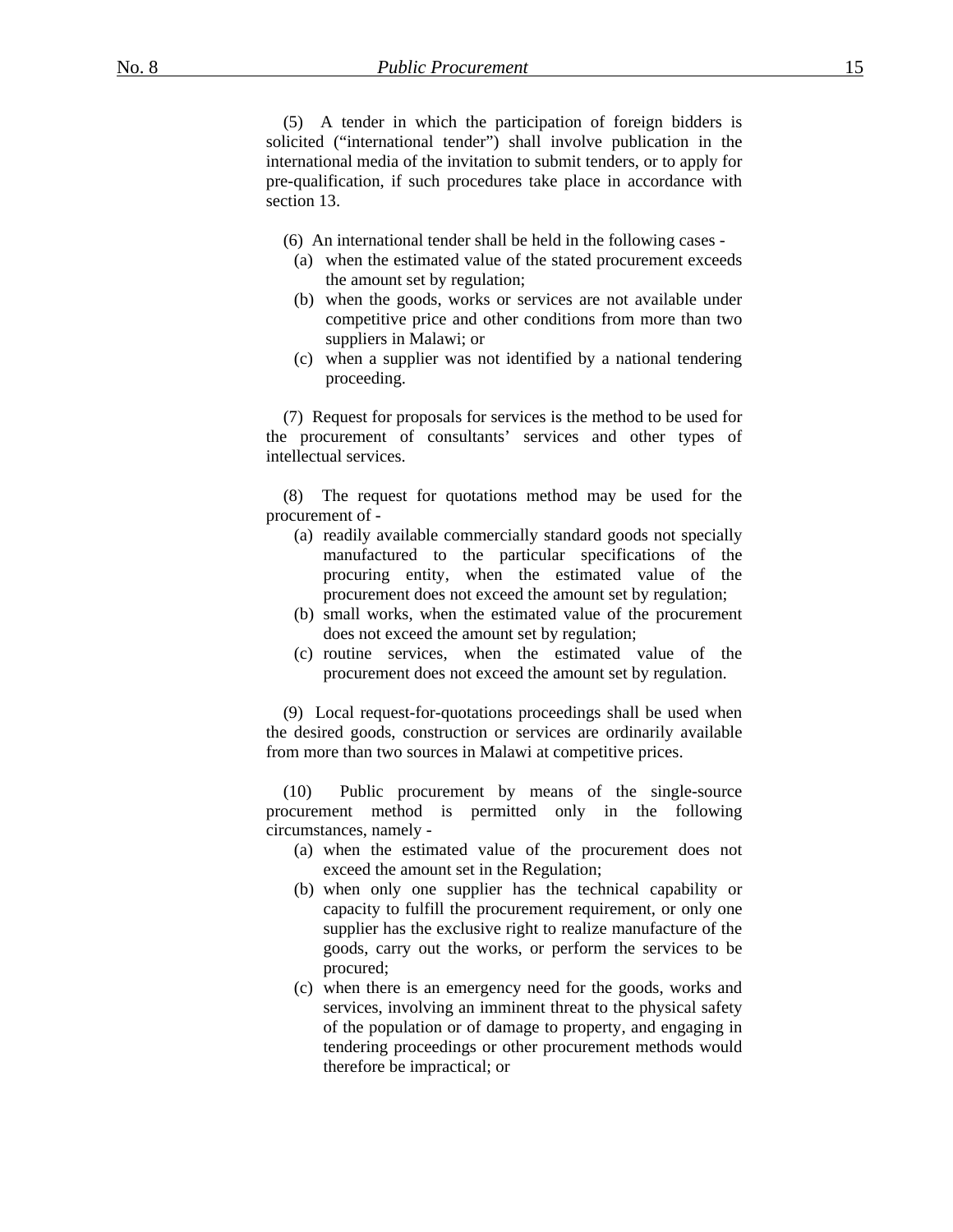(5) A tender in which the participation of foreign bidders is solicited ("international tender") shall involve publication in the international media of the invitation to submit tenders, or to apply for pre-qualification, if such procedures take place in accordance with section 13.

(6) An international tender shall be held in the following cases -

- (a) when the estimated value of the stated procurement exceeds the amount set by regulation;
- (b) when the goods, works or services are not available under competitive price and other conditions from more than two suppliers in Malawi; or
- (c) when a supplier was not identified by a national tendering proceeding.

 (7) Request for proposals for services is the method to be used for the procurement of consultants' services and other types of intellectual services.

 (8) The request for quotations method may be used for the procurement of -

- (a) readily available commercially standard goods not specially manufactured to the particular specifications of the procuring entity, when the estimated value of the procurement does not exceed the amount set by regulation;
- (b) small works, when the estimated value of the procurement does not exceed the amount set by regulation;
- (c) routine services, when the estimated value of the procurement does not exceed the amount set by regulation.

 (9) Local request-for-quotations proceedings shall be used when the desired goods, construction or services are ordinarily available from more than two sources in Malawi at competitive prices.

 (10) Public procurement by means of the single-source procurement method is permitted only in the following circumstances, namely -

- (a) when the estimated value of the procurement does not exceed the amount set in the Regulation;
- (b) when only one supplier has the technical capability or capacity to fulfill the procurement requirement, or only one supplier has the exclusive right to realize manufacture of the goods, carry out the works, or perform the services to be procured;
- (c) when there is an emergency need for the goods, works and services, involving an imminent threat to the physical safety of the population or of damage to property, and engaging in tendering proceedings or other procurement methods would therefore be impractical; or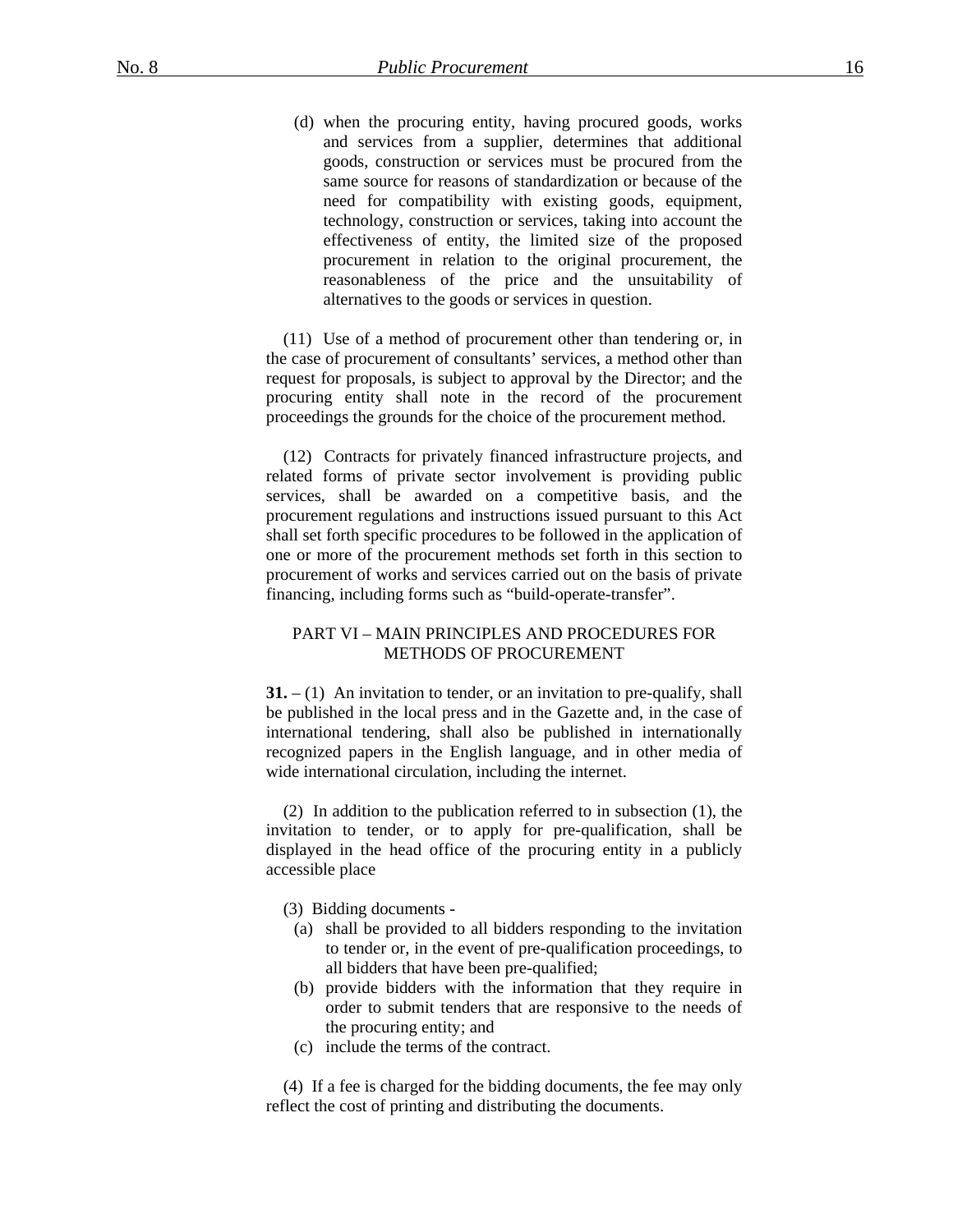(d) when the procuring entity, having procured goods, works and services from a supplier, determines that additional goods, construction or services must be procured from the same source for reasons of standardization or because of the need for compatibility with existing goods, equipment, technology, construction or services, taking into account the effectiveness of entity, the limited size of the proposed procurement in relation to the original procurement, the reasonableness of the price and the unsuitability of alternatives to the goods or services in question.

 (11) Use of a method of procurement other than tendering or, in the case of procurement of consultants' services, a method other than request for proposals, is subject to approval by the Director; and the procuring entity shall note in the record of the procurement proceedings the grounds for the choice of the procurement method.

 (12) Contracts for privately financed infrastructure projects, and related forms of private sector involvement is providing public services, shall be awarded on a competitive basis, and the procurement regulations and instructions issued pursuant to this Act shall set forth specific procedures to be followed in the application of one or more of the procurement methods set forth in this section to procurement of works and services carried out on the basis of private financing, including forms such as "build-operate-transfer".

# PART VI – MAIN PRINCIPLES AND PROCEDURES FOR METHODS OF PROCUREMENT

**31.** – (1) An invitation to tender, or an invitation to pre-qualify, shall be published in the local press and in the Gazette and, in the case of international tendering, shall also be published in internationally recognized papers in the English language, and in other media of wide international circulation, including the internet.

 (2) In addition to the publication referred to in subsection (1), the invitation to tender, or to apply for pre-qualification, shall be displayed in the head office of the procuring entity in a publicly accessible place

- (3) Bidding documents
	- (a) shall be provided to all bidders responding to the invitation to tender or, in the event of pre-qualification proceedings, to all bidders that have been pre-qualified;
	- (b) provide bidders with the information that they require in order to submit tenders that are responsive to the needs of the procuring entity; and
	- (c) include the terms of the contract.

 (4) If a fee is charged for the bidding documents, the fee may only reflect the cost of printing and distributing the documents.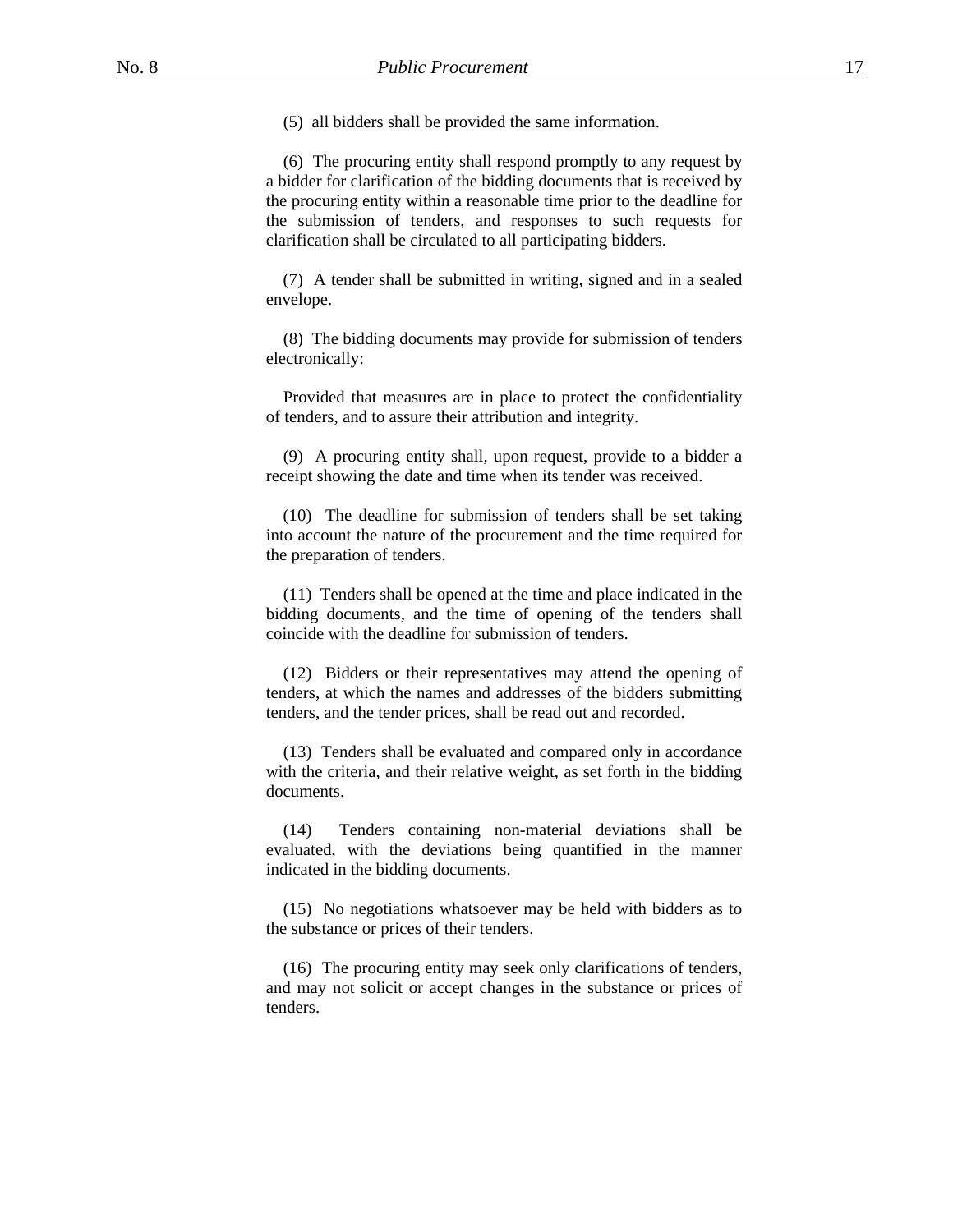(5) all bidders shall be provided the same information.

 (6) The procuring entity shall respond promptly to any request by a bidder for clarification of the bidding documents that is received by the procuring entity within a reasonable time prior to the deadline for the submission of tenders, and responses to such requests for clarification shall be circulated to all participating bidders.

 (7) A tender shall be submitted in writing, signed and in a sealed envelope.

 (8) The bidding documents may provide for submission of tenders electronically:

 Provided that measures are in place to protect the confidentiality of tenders, and to assure their attribution and integrity.

 (9) A procuring entity shall, upon request, provide to a bidder a receipt showing the date and time when its tender was received.

 (10) The deadline for submission of tenders shall be set taking into account the nature of the procurement and the time required for the preparation of tenders.

 (11) Tenders shall be opened at the time and place indicated in the bidding documents, and the time of opening of the tenders shall coincide with the deadline for submission of tenders.

 (12) Bidders or their representatives may attend the opening of tenders, at which the names and addresses of the bidders submitting tenders, and the tender prices, shall be read out and recorded.

 (13) Tenders shall be evaluated and compared only in accordance with the criteria, and their relative weight, as set forth in the bidding documents.

 (14) Tenders containing non-material deviations shall be evaluated, with the deviations being quantified in the manner indicated in the bidding documents.

 (15) No negotiations whatsoever may be held with bidders as to the substance or prices of their tenders.

 (16) The procuring entity may seek only clarifications of tenders, and may not solicit or accept changes in the substance or prices of tenders.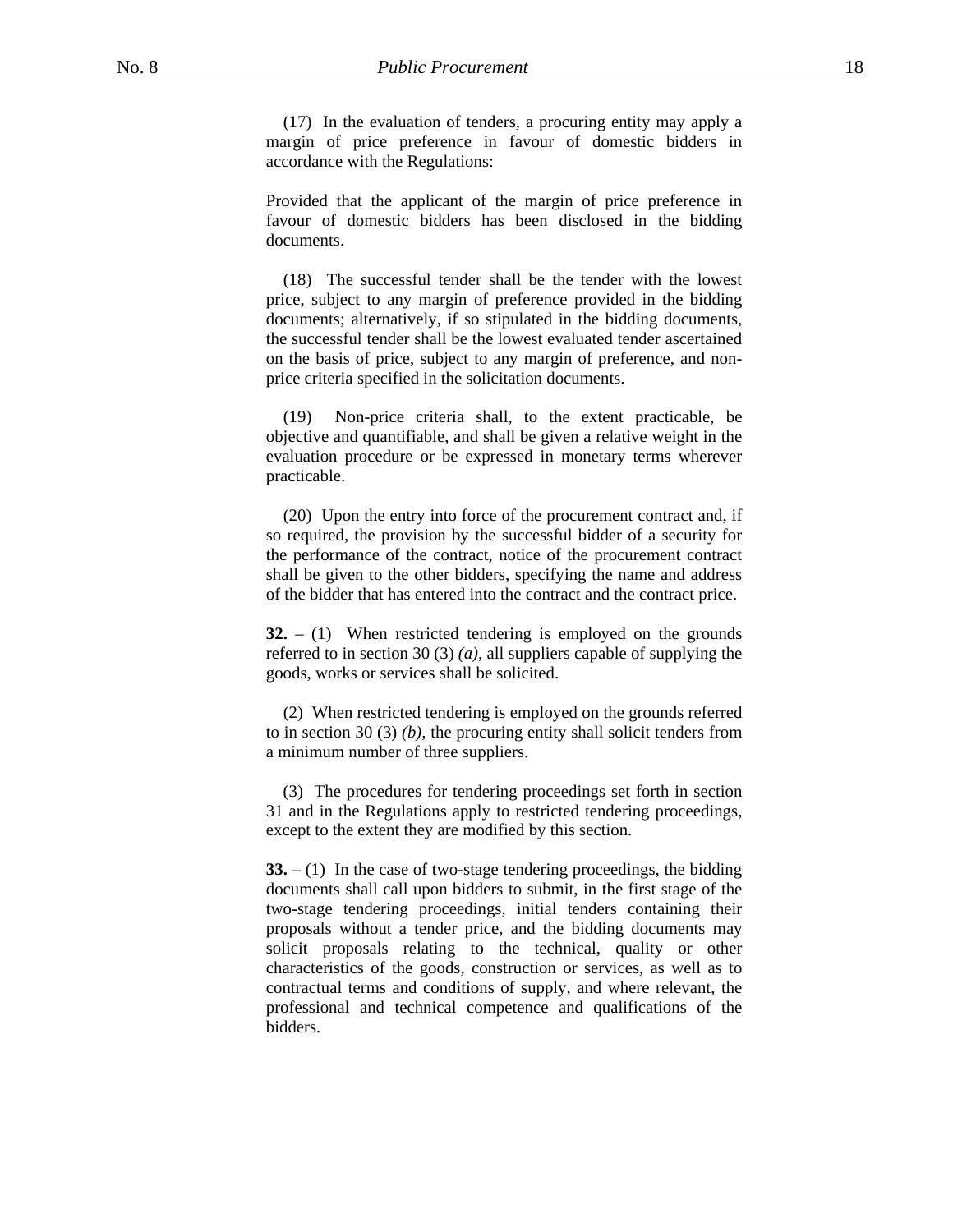(17) In the evaluation of tenders, a procuring entity may apply a margin of price preference in favour of domestic bidders in accordance with the Regulations:

Provided that the applicant of the margin of price preference in favour of domestic bidders has been disclosed in the bidding documents.

 (18) The successful tender shall be the tender with the lowest price, subject to any margin of preference provided in the bidding documents; alternatively, if so stipulated in the bidding documents, the successful tender shall be the lowest evaluated tender ascertained on the basis of price, subject to any margin of preference, and nonprice criteria specified in the solicitation documents.

 (19) Non-price criteria shall, to the extent practicable, be objective and quantifiable, and shall be given a relative weight in the evaluation procedure or be expressed in monetary terms wherever practicable.

 (20) Upon the entry into force of the procurement contract and, if so required, the provision by the successful bidder of a security for the performance of the contract, notice of the procurement contract shall be given to the other bidders, specifying the name and address of the bidder that has entered into the contract and the contract price.

**32.** – (1) When restricted tendering is employed on the grounds referred to in section 30 (3) *(a),* all suppliers capable of supplying the goods, works or services shall be solicited.

 (2) When restricted tendering is employed on the grounds referred to in section 30 (3) *(b),* the procuring entity shall solicit tenders from a minimum number of three suppliers.

 (3) The procedures for tendering proceedings set forth in section 31 and in the Regulations apply to restricted tendering proceedings, except to the extent they are modified by this section.

 $33. - (1)$  In the case of two-stage tendering proceedings, the bidding documents shall call upon bidders to submit, in the first stage of the two-stage tendering proceedings, initial tenders containing their proposals without a tender price, and the bidding documents may solicit proposals relating to the technical, quality or other characteristics of the goods, construction or services, as well as to contractual terms and conditions of supply, and where relevant, the professional and technical competence and qualifications of the bidders.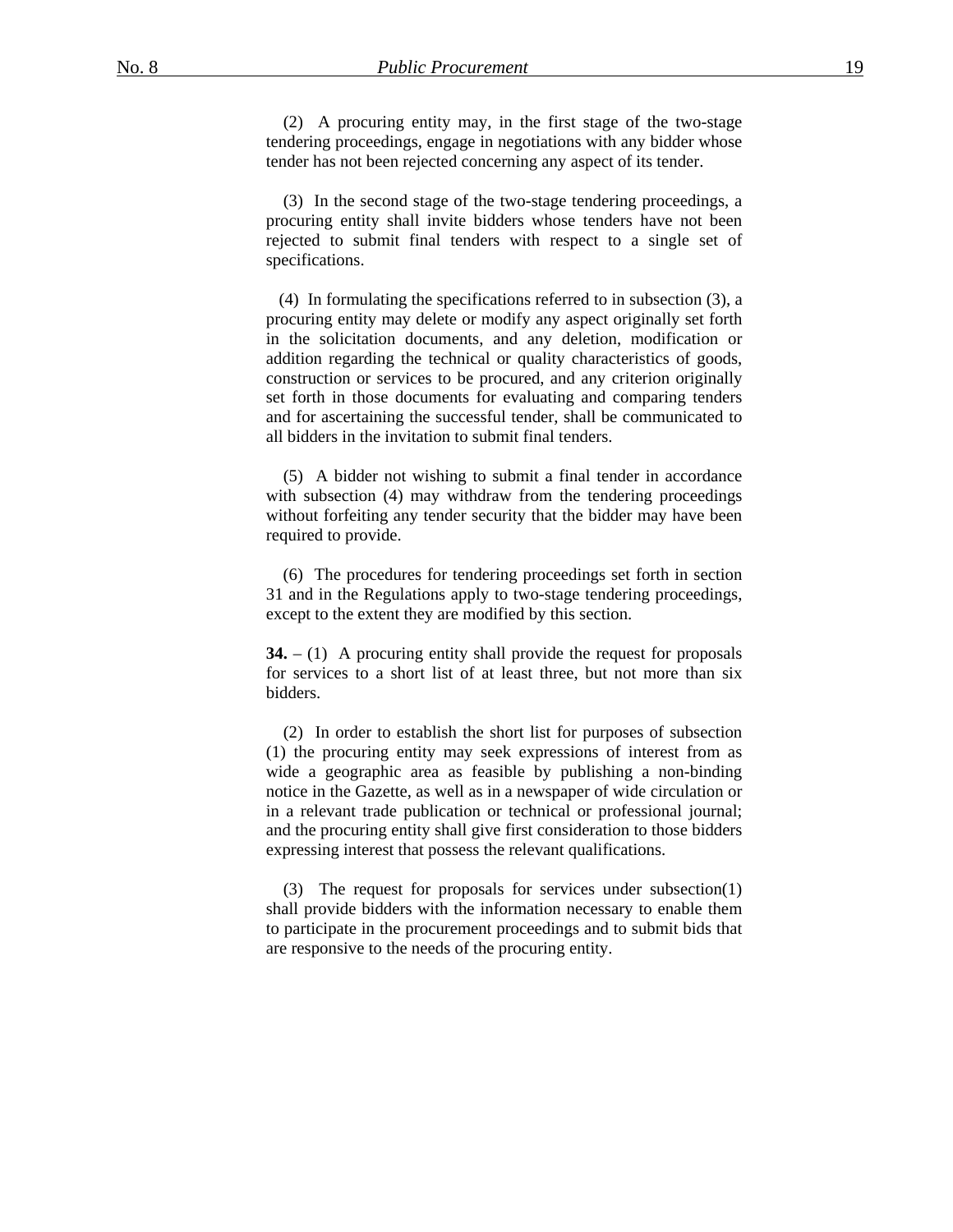(2) A procuring entity may, in the first stage of the two-stage tendering proceedings, engage in negotiations with any bidder whose tender has not been rejected concerning any aspect of its tender.

 (3) In the second stage of the two-stage tendering proceedings, a procuring entity shall invite bidders whose tenders have not been rejected to submit final tenders with respect to a single set of specifications.

 (4) In formulating the specifications referred to in subsection (3), a procuring entity may delete or modify any aspect originally set forth in the solicitation documents, and any deletion, modification or addition regarding the technical or quality characteristics of goods, construction or services to be procured, and any criterion originally set forth in those documents for evaluating and comparing tenders and for ascertaining the successful tender, shall be communicated to all bidders in the invitation to submit final tenders.

 (5) A bidder not wishing to submit a final tender in accordance with subsection (4) may withdraw from the tendering proceedings without forfeiting any tender security that the bidder may have been required to provide.

 (6) The procedures for tendering proceedings set forth in section 31 and in the Regulations apply to two-stage tendering proceedings, except to the extent they are modified by this section.

**34.** – (1) A procuring entity shall provide the request for proposals for services to a short list of at least three, but not more than six bidders.

 (2) In order to establish the short list for purposes of subsection (1) the procuring entity may seek expressions of interest from as wide a geographic area as feasible by publishing a non-binding notice in the Gazette, as well as in a newspaper of wide circulation or in a relevant trade publication or technical or professional journal; and the procuring entity shall give first consideration to those bidders expressing interest that possess the relevant qualifications.

 (3) The request for proposals for services under subsection(1) shall provide bidders with the information necessary to enable them to participate in the procurement proceedings and to submit bids that are responsive to the needs of the procuring entity.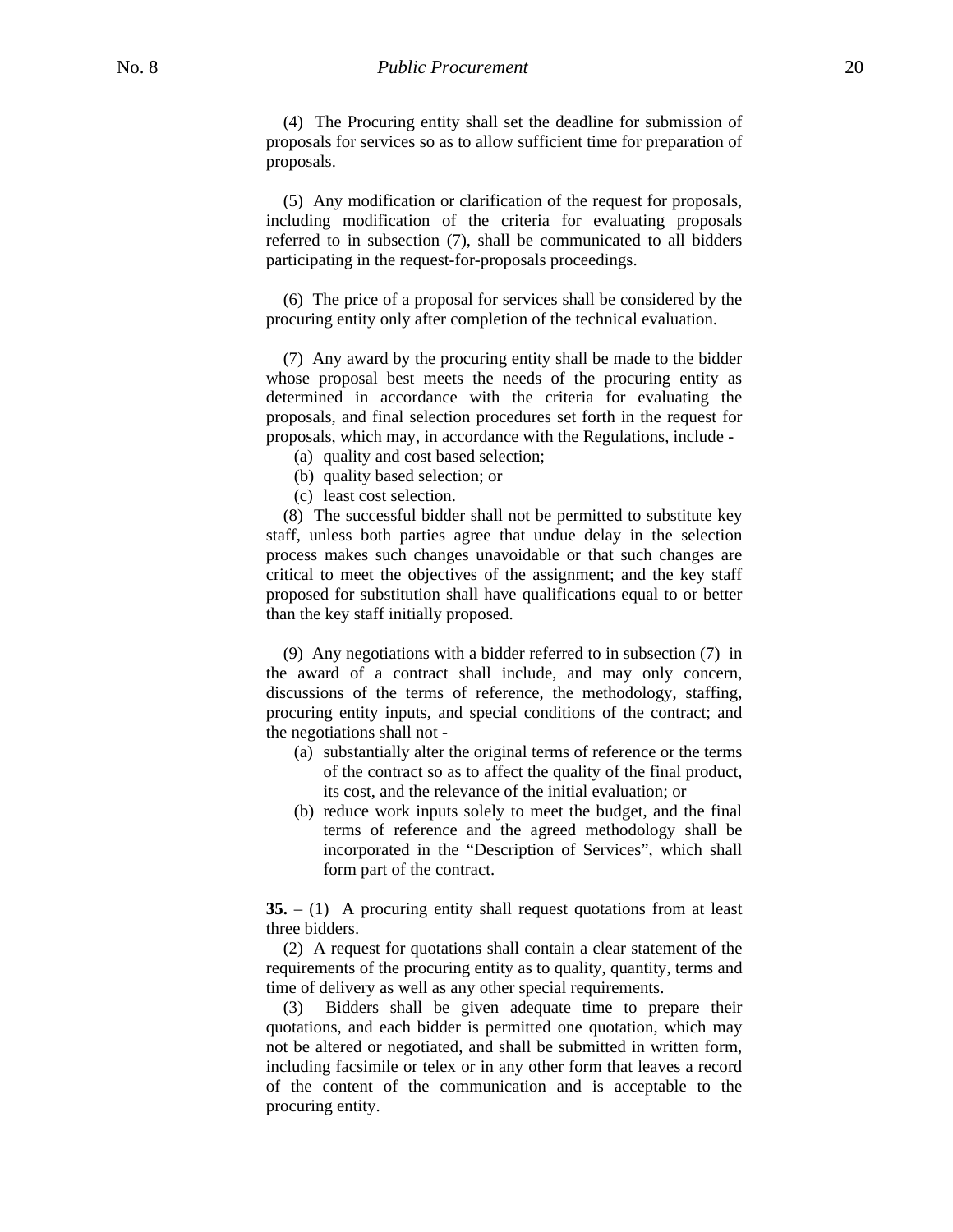(4) The Procuring entity shall set the deadline for submission of proposals for services so as to allow sufficient time for preparation of proposals.

 (5) Any modification or clarification of the request for proposals, including modification of the criteria for evaluating proposals referred to in subsection (7), shall be communicated to all bidders participating in the request-for-proposals proceedings.

 (6) The price of a proposal for services shall be considered by the procuring entity only after completion of the technical evaluation.

 (7) Any award by the procuring entity shall be made to the bidder whose proposal best meets the needs of the procuring entity as determined in accordance with the criteria for evaluating the proposals, and final selection procedures set forth in the request for proposals, which may, in accordance with the Regulations, include -

(a) quality and cost based selection;

- (b) quality based selection; or
- (c) least cost selection.

 (8) The successful bidder shall not be permitted to substitute key staff, unless both parties agree that undue delay in the selection process makes such changes unavoidable or that such changes are critical to meet the objectives of the assignment; and the key staff proposed for substitution shall have qualifications equal to or better than the key staff initially proposed.

 (9) Any negotiations with a bidder referred to in subsection (7) in the award of a contract shall include, and may only concern, discussions of the terms of reference, the methodology, staffing, procuring entity inputs, and special conditions of the contract; and the negotiations shall not -

- (a) substantially alter the original terms of reference or the terms of the contract so as to affect the quality of the final product, its cost, and the relevance of the initial evaluation; or
- (b) reduce work inputs solely to meet the budget, and the final terms of reference and the agreed methodology shall be incorporated in the "Description of Services", which shall form part of the contract.

**35.** – (1) A procuring entity shall request quotations from at least three bidders.

 (2) A request for quotations shall contain a clear statement of the requirements of the procuring entity as to quality, quantity, terms and time of delivery as well as any other special requirements.

 (3) Bidders shall be given adequate time to prepare their quotations, and each bidder is permitted one quotation, which may not be altered or negotiated, and shall be submitted in written form, including facsimile or telex or in any other form that leaves a record of the content of the communication and is acceptable to the procuring entity.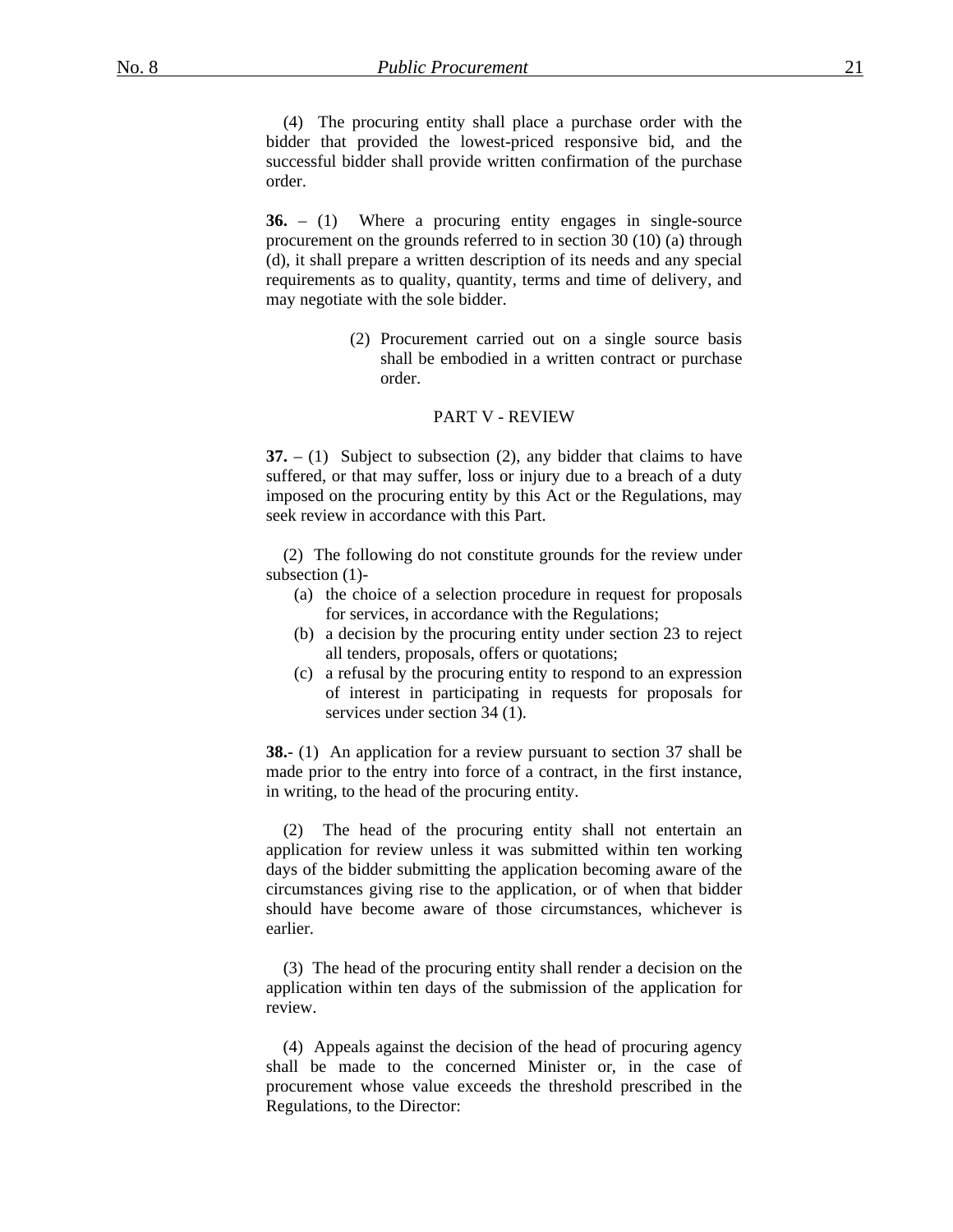(4) The procuring entity shall place a purchase order with the bidder that provided the lowest-priced responsive bid, and the successful bidder shall provide written confirmation of the purchase order.

**36.** – (1) Where a procuring entity engages in single-source procurement on the grounds referred to in section 30 (10) (a) through (d), it shall prepare a written description of its needs and any special requirements as to quality, quantity, terms and time of delivery, and may negotiate with the sole bidder.

> (2) Procurement carried out on a single source basis shall be embodied in a written contract or purchase order.

#### PART V - REVIEW

**37.**  $- (1)$  Subject to subsection (2), any bidder that claims to have suffered, or that may suffer, loss or injury due to a breach of a duty imposed on the procuring entity by this Act or the Regulations, may seek review in accordance with this Part.

 (2) The following do not constitute grounds for the review under subsection (1)-

- (a) the choice of a selection procedure in request for proposals for services, in accordance with the Regulations;
- (b) a decision by the procuring entity under section 23 to reject all tenders, proposals, offers or quotations;
- (c) a refusal by the procuring entity to respond to an expression of interest in participating in requests for proposals for services under section 34 (1).

**38.**- (1) An application for a review pursuant to section 37 shall be made prior to the entry into force of a contract, in the first instance, in writing, to the head of the procuring entity.

 (2) The head of the procuring entity shall not entertain an application for review unless it was submitted within ten working days of the bidder submitting the application becoming aware of the circumstances giving rise to the application, or of when that bidder should have become aware of those circumstances, whichever is earlier.

 (3) The head of the procuring entity shall render a decision on the application within ten days of the submission of the application for review.

 (4) Appeals against the decision of the head of procuring agency shall be made to the concerned Minister or, in the case of procurement whose value exceeds the threshold prescribed in the Regulations, to the Director: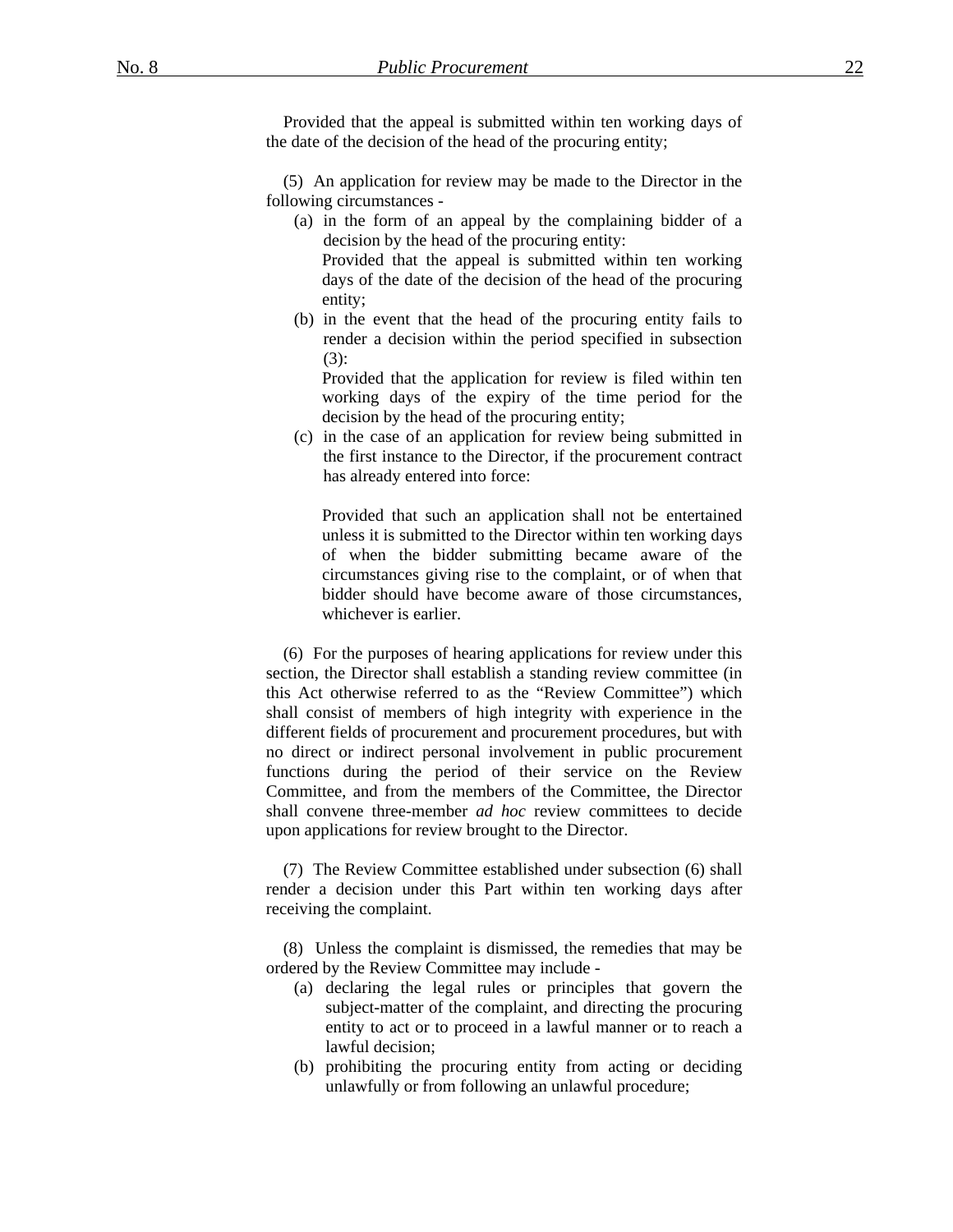Provided that the appeal is submitted within ten working days of the date of the decision of the head of the procuring entity;

 (5) An application for review may be made to the Director in the following circumstances -

(a) in the form of an appeal by the complaining bidder of a decision by the head of the procuring entity:

Provided that the appeal is submitted within ten working days of the date of the decision of the head of the procuring entity;

(b) in the event that the head of the procuring entity fails to render a decision within the period specified in subsection (3):

Provided that the application for review is filed within ten working days of the expiry of the time period for the decision by the head of the procuring entity;

(c) in the case of an application for review being submitted in the first instance to the Director, if the procurement contract has already entered into force:

Provided that such an application shall not be entertained unless it is submitted to the Director within ten working days of when the bidder submitting became aware of the circumstances giving rise to the complaint, or of when that bidder should have become aware of those circumstances, whichever is earlier.

 (6) For the purposes of hearing applications for review under this section, the Director shall establish a standing review committee (in this Act otherwise referred to as the "Review Committee") which shall consist of members of high integrity with experience in the different fields of procurement and procurement procedures, but with no direct or indirect personal involvement in public procurement functions during the period of their service on the Review Committee, and from the members of the Committee, the Director shall convene three-member *ad hoc* review committees to decide upon applications for review brought to the Director.

 (7) The Review Committee established under subsection (6) shall render a decision under this Part within ten working days after receiving the complaint.

 (8) Unless the complaint is dismissed, the remedies that may be ordered by the Review Committee may include -

- (a) declaring the legal rules or principles that govern the subject-matter of the complaint, and directing the procuring entity to act or to proceed in a lawful manner or to reach a lawful decision;
- (b) prohibiting the procuring entity from acting or deciding unlawfully or from following an unlawful procedure;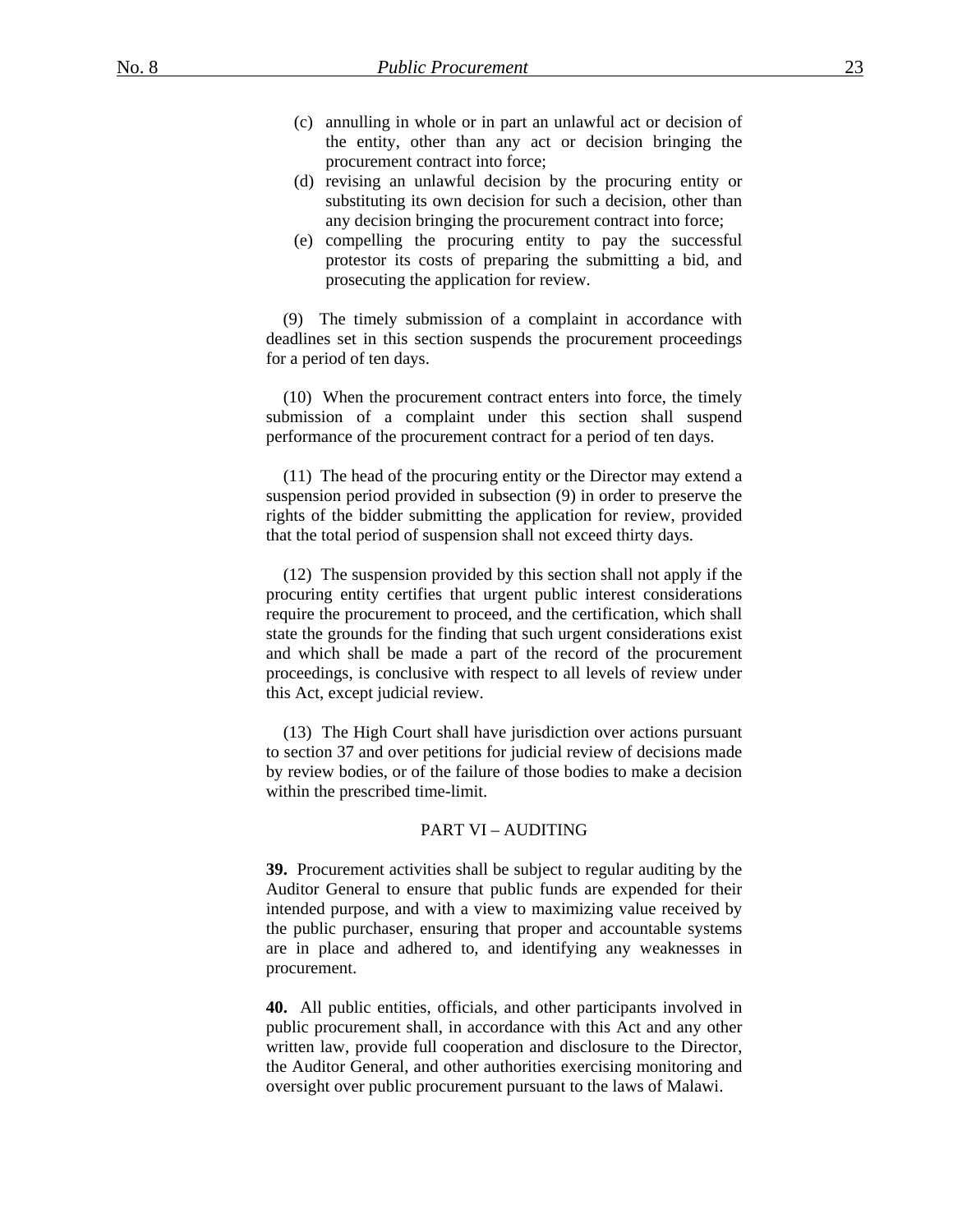- (c) annulling in whole or in part an unlawful act or decision of the entity, other than any act or decision bringing the procurement contract into force;
- (d) revising an unlawful decision by the procuring entity or substituting its own decision for such a decision, other than any decision bringing the procurement contract into force;
- (e) compelling the procuring entity to pay the successful protestor its costs of preparing the submitting a bid, and prosecuting the application for review.

 (9) The timely submission of a complaint in accordance with deadlines set in this section suspends the procurement proceedings for a period of ten days.

 (10) When the procurement contract enters into force, the timely submission of a complaint under this section shall suspend performance of the procurement contract for a period of ten days.

 (11) The head of the procuring entity or the Director may extend a suspension period provided in subsection (9) in order to preserve the rights of the bidder submitting the application for review, provided that the total period of suspension shall not exceed thirty days.

 (12) The suspension provided by this section shall not apply if the procuring entity certifies that urgent public interest considerations require the procurement to proceed, and the certification, which shall state the grounds for the finding that such urgent considerations exist and which shall be made a part of the record of the procurement proceedings, is conclusive with respect to all levels of review under this Act, except judicial review.

 (13) The High Court shall have jurisdiction over actions pursuant to section 37 and over petitions for judicial review of decisions made by review bodies, or of the failure of those bodies to make a decision within the prescribed time-limit.

#### PART VI – AUDITING

**39.** Procurement activities shall be subject to regular auditing by the Auditor General to ensure that public funds are expended for their intended purpose, and with a view to maximizing value received by the public purchaser, ensuring that proper and accountable systems are in place and adhered to, and identifying any weaknesses in procurement.

**40.** All public entities, officials, and other participants involved in public procurement shall, in accordance with this Act and any other written law, provide full cooperation and disclosure to the Director, the Auditor General, and other authorities exercising monitoring and oversight over public procurement pursuant to the laws of Malawi.